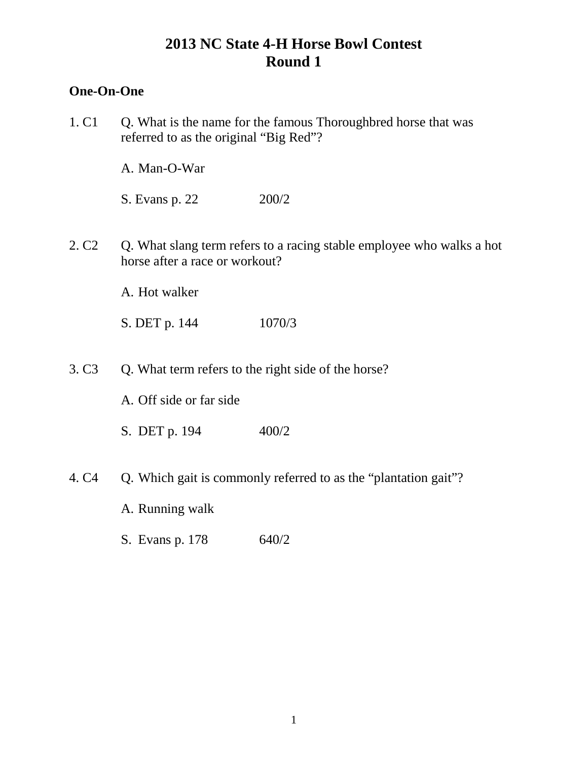## **One-On-One**

| 1. C <sub>1</sub> | Q. What is the name for the famous Thoroughbred horse that was<br>referred to as the original "Big Red"? |                                                                       |
|-------------------|----------------------------------------------------------------------------------------------------------|-----------------------------------------------------------------------|
|                   | A. Man-O-War                                                                                             |                                                                       |
|                   | S. Evans p. 22                                                                                           | 200/2                                                                 |
| 2. C <sub>2</sub> | horse after a race or workout?                                                                           | Q. What slang term refers to a racing stable employee who walks a hot |
|                   | A. Hot walker                                                                                            |                                                                       |
|                   | S. DET p. 144                                                                                            | 1070/3                                                                |
| 3. C <sub>3</sub> |                                                                                                          | Q. What term refers to the right side of the horse?                   |
|                   | A. Off side or far side                                                                                  |                                                                       |
|                   | S. DET p. 194                                                                                            | 400/2                                                                 |
| 4. C <sub>4</sub> |                                                                                                          | Q. Which gait is commonly referred to as the "plantation gait"?       |
|                   | A. Running walk                                                                                          |                                                                       |
|                   | S. Evans p. 178                                                                                          | 640/2                                                                 |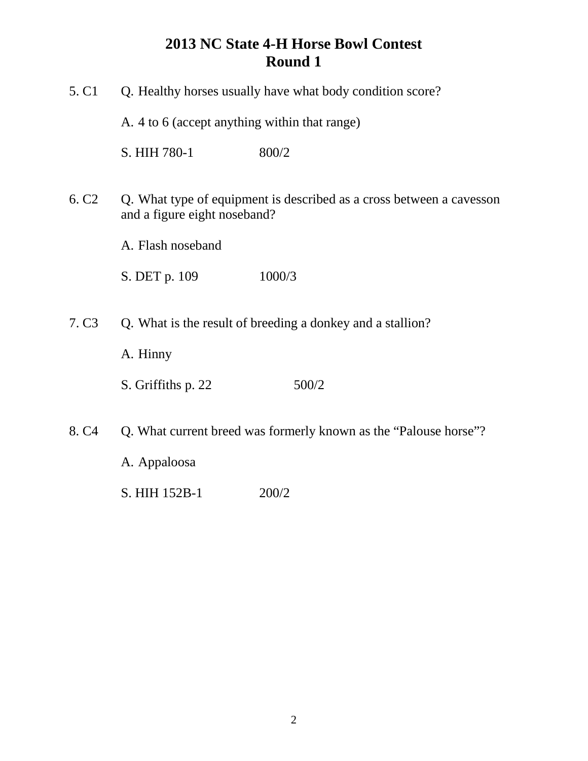| 5. C <sub>1</sub> | Q. Healthy horses usually have what body condition score?<br>A. 4 to 6 (accept anything within that range) |                                                                      |
|-------------------|------------------------------------------------------------------------------------------------------------|----------------------------------------------------------------------|
|                   |                                                                                                            |                                                                      |
|                   | S. HIH 780-1                                                                                               | 800/2                                                                |
| 6. C <sub>2</sub> | and a figure eight noseband?                                                                               | Q. What type of equipment is described as a cross between a cavesson |
|                   | A. Flash noseband                                                                                          |                                                                      |
|                   | S. DET p. 109                                                                                              | 1000/3                                                               |
|                   |                                                                                                            |                                                                      |
| 7. C <sub>3</sub> |                                                                                                            | Q. What is the result of breeding a donkey and a stallion?           |
|                   | A. Hinny                                                                                                   |                                                                      |
|                   | S. Griffiths p. 22                                                                                         | 500/2                                                                |
| 8. C <sub>4</sub> |                                                                                                            | Q. What current breed was formerly known as the "Palouse horse"?     |
|                   | A. Appaloosa                                                                                               |                                                                      |
|                   | S. HIH 152B-1                                                                                              | 200/2                                                                |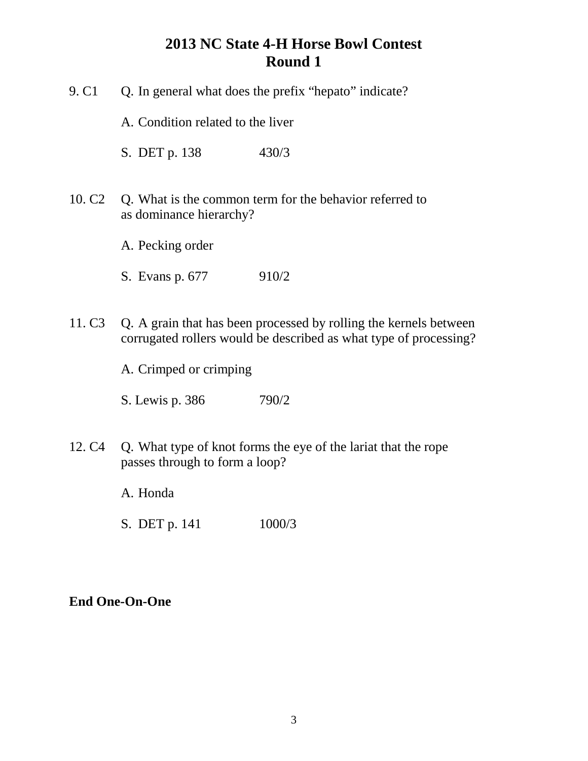| 9. C <sub>1</sub>  | Q. In general what does the prefix "hepato" indicate? |                                                                                                                                        |
|--------------------|-------------------------------------------------------|----------------------------------------------------------------------------------------------------------------------------------------|
|                    | A. Condition related to the liver                     |                                                                                                                                        |
|                    | S. DET p. 138                                         | 430/3                                                                                                                                  |
| 10. C <sub>2</sub> | as dominance hierarchy?                               | Q. What is the common term for the behavior referred to                                                                                |
|                    | A. Pecking order                                      |                                                                                                                                        |
|                    | S. Evans p. 677                                       | 910/2                                                                                                                                  |
| 11. C <sub>3</sub> |                                                       | Q. A grain that has been processed by rolling the kernels between<br>corrugated rollers would be described as what type of processing? |
|                    | A. Crimped or crimping                                |                                                                                                                                        |
|                    | S. Lewis p. 386                                       | 790/2                                                                                                                                  |
| 12. C <sub>4</sub> | passes through to form a loop?                        | Q. What type of knot forms the eye of the lariat that the rope                                                                         |
|                    | A. Honda                                              |                                                                                                                                        |

S. DET p. 141 1000/3

## **End One-On-One**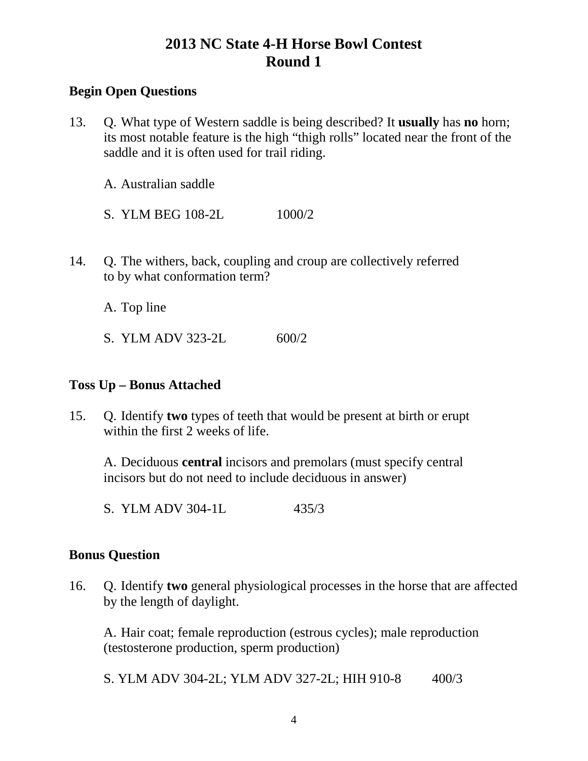## **Begin Open Questions**

13. Q. What type of Western saddle is being described? It **usually** has **no** horn; its most notable feature is the high "thigh rolls" located near the front of the saddle and it is often used for trail riding.

A. Australian saddle

- S. YLM BEG 108-2L 1000/2
- 14. Q. The withers, back, coupling and croup are collectively referred to by what conformation term?

A. Top line

S. YLM ADV 323-2L 600/2

### **Toss Up – Bonus Attached**

15. Q. Identify **two** types of teeth that would be present at birth or erupt within the first 2 weeks of life.

A. Deciduous **central** incisors and premolars (must specify central incisors but do not need to include deciduous in answer)

S. YLM ADV 304-1L 435/3

### **Bonus Question**

16. Q. Identify **two** general physiological processes in the horse that are affected by the length of daylight.

A. Hair coat; female reproduction (estrous cycles); male reproduction (testosterone production, sperm production)

S. YLM ADV 304-2L; YLM ADV 327-2L; HIH 910-8 400/3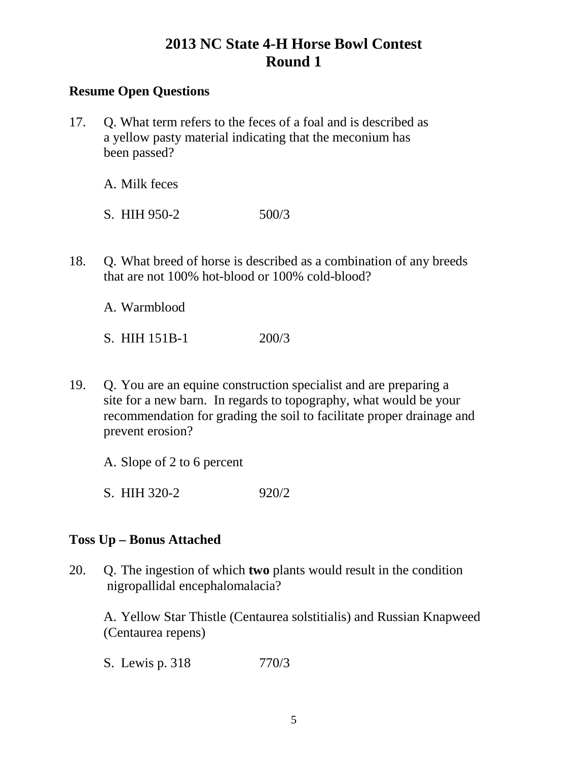### **Resume Open Questions**

17. Q. What term refers to the feces of a foal and is described as a yellow pasty material indicating that the meconium has been passed?

A. Milk feces

S. HIH 950-2 500/3

18. Q. What breed of horse is described as a combination of any breeds that are not 100% hot-blood or 100% cold-blood?

A. Warmblood

S. HIH 151B-1 200/3

19. Q. You are an equine construction specialist and are preparing a site for a new barn. In regards to topography, what would be your recommendation for grading the soil to facilitate proper drainage and prevent erosion?

A. Slope of 2 to 6 percent

S. HIH 320-2 920/2

### **Toss Up – Bonus Attached**

20. Q. The ingestion of which **two** plants would result in the condition nigropallidal encephalomalacia?

A. Yellow Star Thistle (Centaurea solstitialis) and Russian Knapweed (Centaurea repens)

S. Lewis p. 318 770/3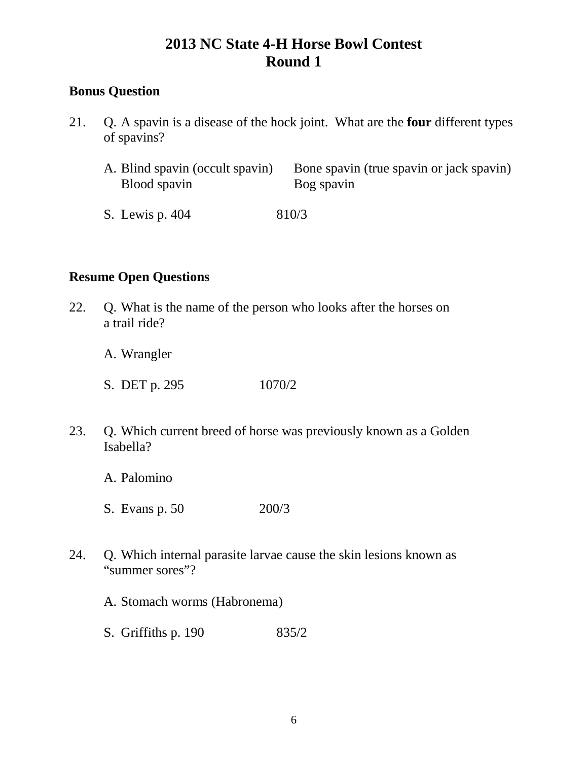## **Bonus Question**

- 21. Q. A spavin is a disease of the hock joint. What are the **four** different types of spavins?
	- A. Blind spavin (occult spavin) Bone spavin (true spavin or jack spavin) Blood spavin Bog spavin
	- S. Lewis p. 404 810/3

### **Resume Open Questions**

22. Q. What is the name of the person who looks after the horses on a trail ride?

A. Wrangler

- S. DET p. 295 1070/2
- 23. Q. Which current breed of horse was previously known as a Golden Isabella?
	- A. Palomino
	- S. Evans p. 50 200/3
- 24. Q. Which internal parasite larvae cause the skin lesions known as "summer sores"?
	- A. Stomach worms (Habronema)
	- S. Griffiths p. 190 835/2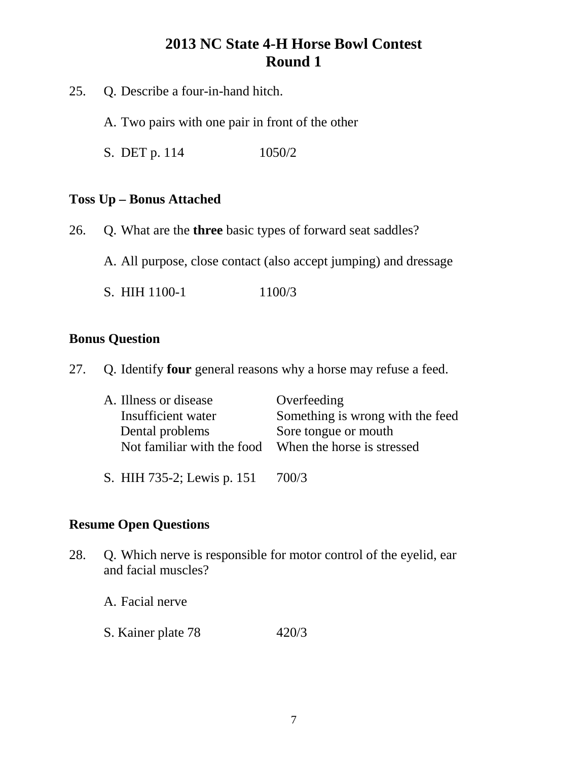- 25. Q. Describe a four-in-hand hitch.
	- A. Two pairs with one pair in front of the other
	- S. DET p. 114 1050/2

#### **Toss Up – Bonus Attached**

- 26. Q. What are the **three** basic types of forward seat saddles?
	- A. All purpose, close contact (also accept jumping) and dressage
	- S. HIH 1100-1 1100/3

#### **Bonus Question**

27. Q. Identify **four** general reasons why a horse may refuse a feed.

| A. Illness or disease      | Overfeeding                      |
|----------------------------|----------------------------------|
| Insufficient water         | Something is wrong with the feed |
| Dental problems            | Sore tongue or mouth             |
| Not familiar with the food | When the horse is stressed       |
|                            |                                  |
| S. HIH 735-2; Lewis p. 151 | 700/3                            |

# **Resume Open Questions**

28. Q. Which nerve is responsible for motor control of the eyelid, ear and facial muscles?

A. Facial nerve

S. Kainer plate 78 420/3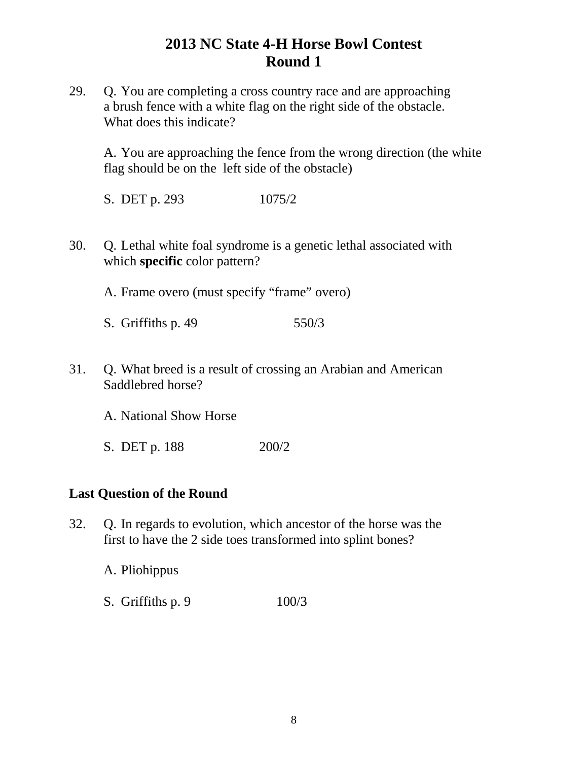29. Q. You are completing a cross country race and are approaching a brush fence with a white flag on the right side of the obstacle. What does this indicate?

A. You are approaching the fence from the wrong direction (the white flag should be on the left side of the obstacle)

S. DET p. 293 1075/2

30. Q. Lethal white foal syndrome is a genetic lethal associated with which **specific** color pattern?

A. Frame overo (must specify "frame" overo)

- S. Griffiths p. 49 550/3
- 31. Q. What breed is a result of crossing an Arabian and American Saddlebred horse?

A. National Show Horse

S. DET p. 188 200/2

### **Last Question of the Round**

32. Q. In regards to evolution, which ancestor of the horse was the first to have the 2 side toes transformed into splint bones?

A. Pliohippus

S. Griffiths p. 9 100/3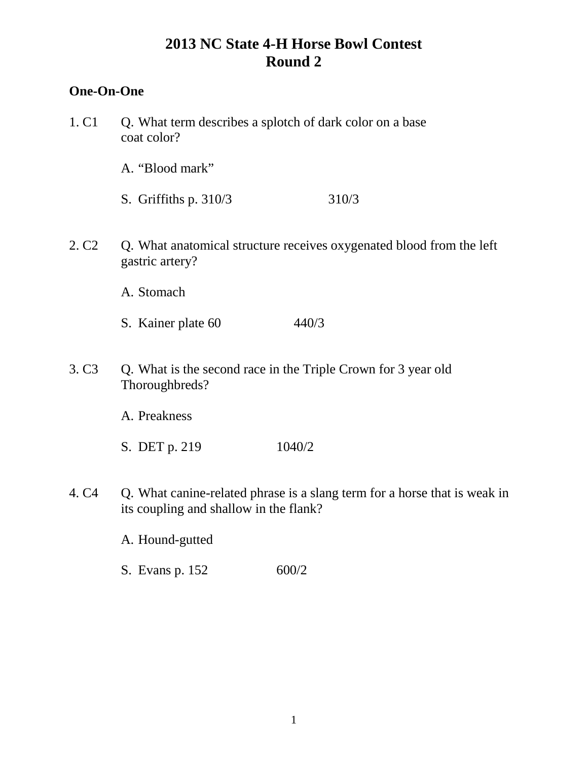## **One-On-One**

1. C1 Q. What term describes a splotch of dark color on a base coat color? A. "Blood mark" S. Griffiths p. 310/3 310/3 2. C2 Q. What anatomical structure receives oxygenated blood from the left gastric artery? A. Stomach S. Kainer plate 60 440/3 3. C3 Q. What is the second race in the Triple Crown for 3 year old Thoroughbreds? A. Preakness S. DET p. 219 1040/2 4. C4 Q. What canine-related phrase is a slang term for a horse that is weak in its coupling and shallow in the flank? A. Hound-gutted S. Evans p. 152 600/2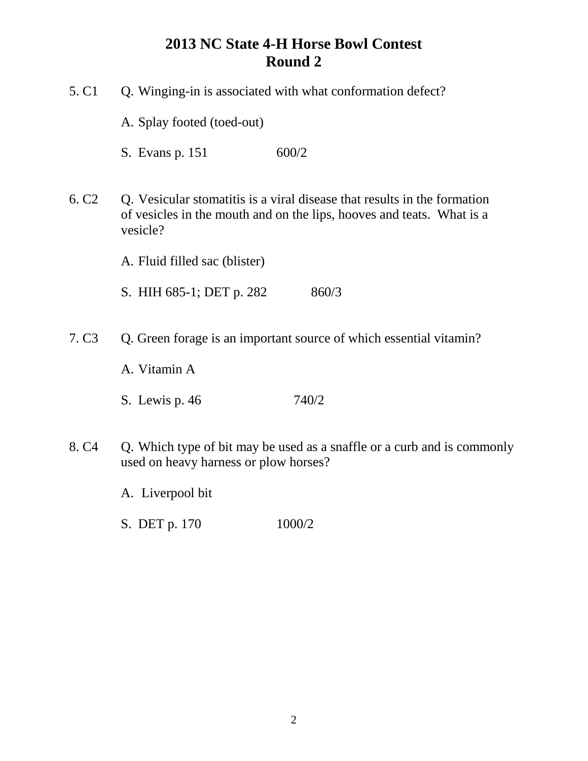| 5. C <sub>1</sub> | Q. Winging-in is associated with what conformation defect?                                                                                                    |  |
|-------------------|---------------------------------------------------------------------------------------------------------------------------------------------------------------|--|
|                   | A. Splay footed (toed-out)                                                                                                                                    |  |
|                   | 600/2<br>S. Evans p. 151                                                                                                                                      |  |
| 6. C <sub>2</sub> | Q. Vesicular stomatitis is a viral disease that results in the formation<br>of vesicles in the mouth and on the lips, hooves and teats. What is a<br>vesicle? |  |
|                   | A. Fluid filled sac (blister)                                                                                                                                 |  |
|                   | S. HIH 685-1; DET p. 282<br>860/3                                                                                                                             |  |
| 7. C <sub>3</sub> | Q. Green forage is an important source of which essential vitamin?<br>A. Vitamin A                                                                            |  |
|                   | 740/2<br>S. Lewis p. 46                                                                                                                                       |  |
| 8. C <sub>4</sub> | Q. Which type of bit may be used as a snaffle or a curb and is commonly<br>used on heavy harness or plow horses?                                              |  |

- A. Liverpool bit
- S. DET p. 170 1000/2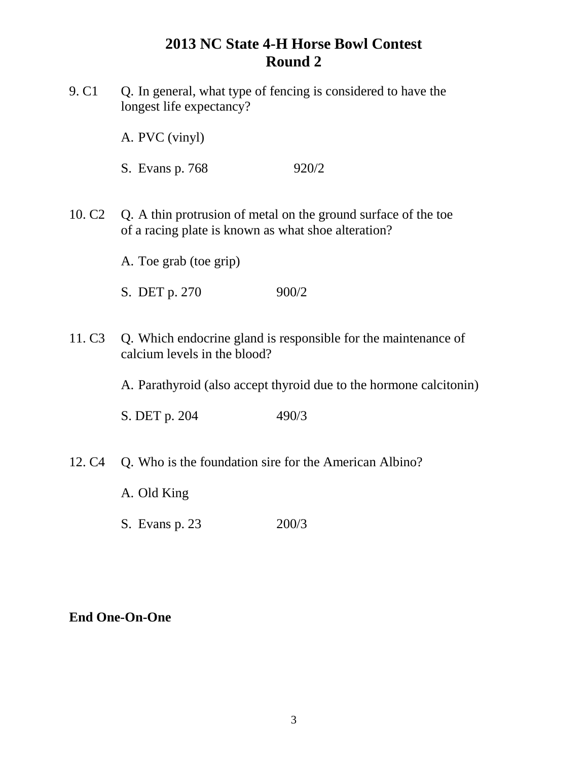9. C1 Q. In general, what type of fencing is considered to have the longest life expectancy?

A. PVC (vinyl)

- S. Evans p. 768 920/2
- 10. C2 Q. A thin protrusion of metal on the ground surface of the toe of a racing plate is known as what shoe alteration?

A. Toe grab (toe grip)

- S. DET p. 270 900/2
- 11. C3 Q. Which endocrine gland is responsible for the maintenance of calcium levels in the blood?

A. Parathyroid (also accept thyroid due to the hormone calcitonin)

S. DET p. 204 490/3

- 12. C4 Q. Who is the foundation sire for the American Albino?
	- A. Old King
	- S. Evans p. 23 200/3

### **End One-On-One**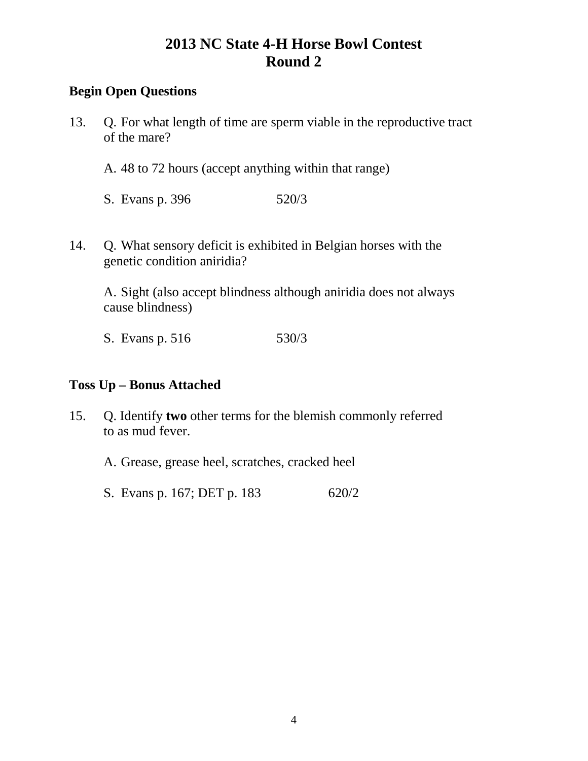## **Begin Open Questions**

- 13. Q. For what length of time are sperm viable in the reproductive tract of the mare?
	- A. 48 to 72 hours (accept anything within that range)
	- S. Evans p. 396 520/3
- 14. Q. What sensory deficit is exhibited in Belgian horses with the genetic condition aniridia?

A. Sight (also accept blindness although aniridia does not always cause blindness)

S. Evans p. 516 530/3

### **Toss Up – Bonus Attached**

- 15. Q. Identify **two** other terms for the blemish commonly referred to as mud fever.
	- A. Grease, grease heel, scratches, cracked heel
	- S. Evans p. 167; DET p. 183 620/2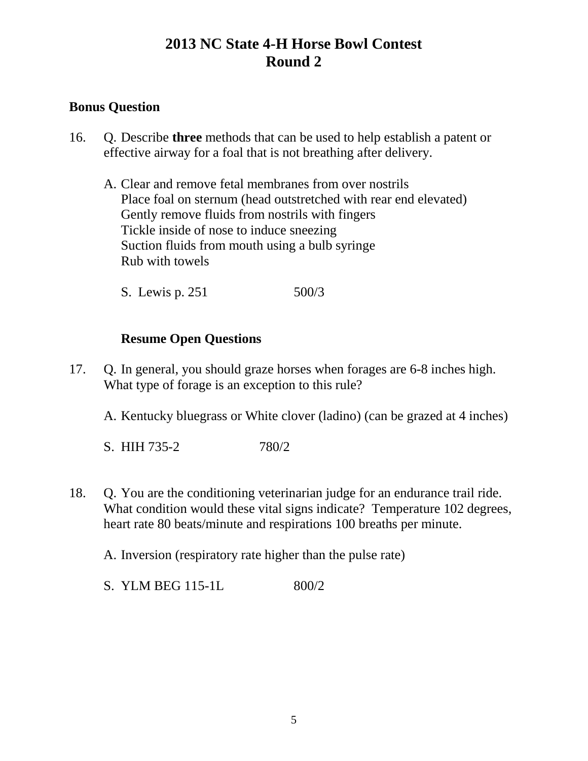### **Bonus Question**

- 16. Q. Describe **three** methods that can be used to help establish a patent or effective airway for a foal that is not breathing after delivery.
	- A. Clear and remove fetal membranes from over nostrils Place foal on sternum (head outstretched with rear end elevated) Gently remove fluids from nostrils with fingers Tickle inside of nose to induce sneezing Suction fluids from mouth using a bulb syringe Rub with towels

S. Lewis p. 251 500/3

### **Resume Open Questions**

- 17. Q. In general, you should graze horses when forages are 6-8 inches high. What type of forage is an exception to this rule?
	- A. Kentucky bluegrass or White clover (ladino) (can be grazed at 4 inches)
	- S. HIH 735-2 780/2
- 18. Q. You are the conditioning veterinarian judge for an endurance trail ride. What condition would these vital signs indicate? Temperature 102 degrees, heart rate 80 beats/minute and respirations 100 breaths per minute.

A. Inversion (respiratory rate higher than the pulse rate)

S. YLM BEG 115-1L 800/2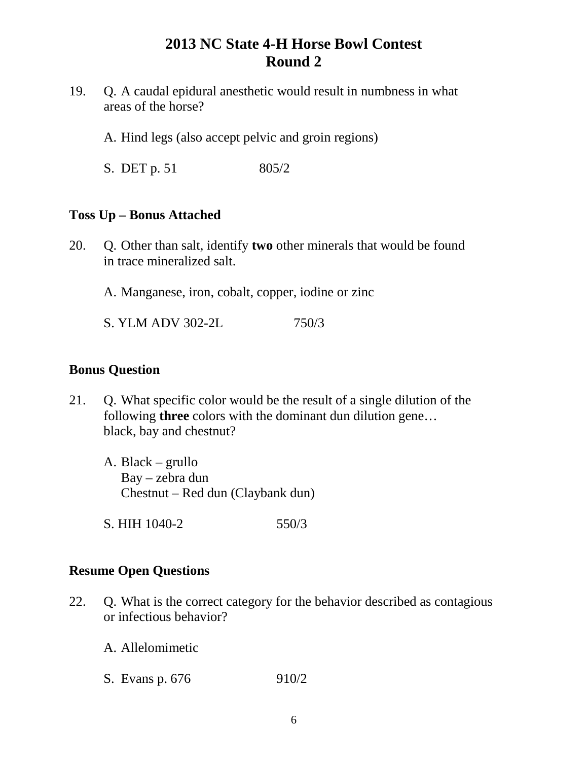- 19. Q. A caudal epidural anesthetic would result in numbness in what areas of the horse?
	- A. Hind legs (also accept pelvic and groin regions)
	- S. DET p. 51 805/2

#### **Toss Up – Bonus Attached**

- 20. Q. Other than salt, identify **two** other minerals that would be found in trace mineralized salt.
	- A. Manganese, iron, cobalt, copper, iodine or zinc
	- S. YLM ADV 302-2L 750/3

#### **Bonus Question**

- 21. Q. What specific color would be the result of a single dilution of the following **three** colors with the dominant dun dilution gene… black, bay and chestnut?
	- A. Black grullo Bay – zebra dun Chestnut – Red dun (Claybank dun)
	- S. HIH 1040-2 550/3

### **Resume Open Questions**

- 22. Q. What is the correct category for the behavior described as contagious or infectious behavior?
	- A. Allelomimetic
	- S. Evans p. 676 910/2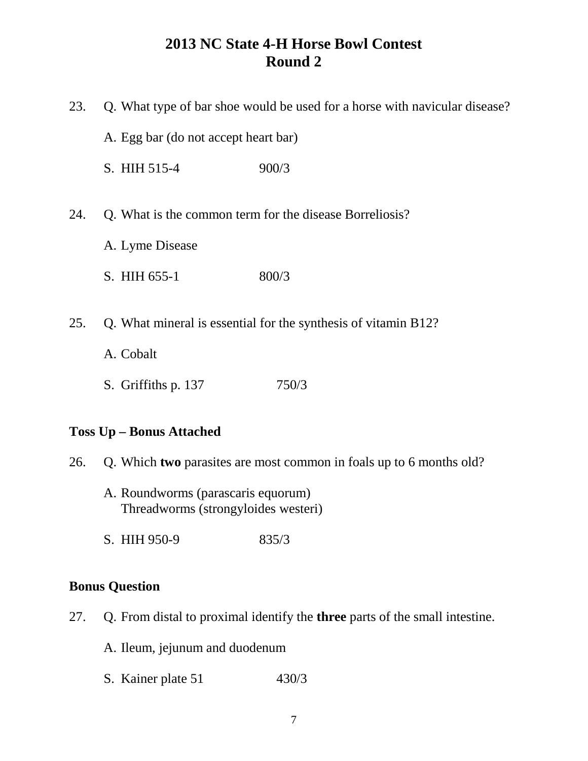| 23.                             | Q. What type of bar shoe would be used for a horse with navicular disease? |                                                                     |
|---------------------------------|----------------------------------------------------------------------------|---------------------------------------------------------------------|
|                                 | A. Egg bar (do not accept heart bar)                                       |                                                                     |
|                                 | S. HIH 515-4                                                               | 900/3                                                               |
| 24.                             | Q. What is the common term for the disease Borreliosis?                    |                                                                     |
|                                 | A. Lyme Disease                                                            |                                                                     |
|                                 | S. HIH 655-1                                                               | 800/3                                                               |
| 25.                             |                                                                            | Q. What mineral is essential for the synthesis of vitamin B12?      |
|                                 | A. Cobalt                                                                  |                                                                     |
|                                 | S. Griffiths p. 137                                                        | 750/3                                                               |
| <b>Toss Up - Bonus Attached</b> |                                                                            |                                                                     |
| 26.                             |                                                                            | Q. Which two parasites are most common in foals up to 6 months old? |
|                                 | A. Roundworms (parascaris equorum)<br>Threadworms (strongyloides westeri)  |                                                                     |
|                                 | S. HIH 950-9                                                               | 835/3                                                               |
| <b>Bonus Question</b>           |                                                                            |                                                                     |

- 27. Q. From distal to proximal identify the **three** parts of the small intestine.
	- A. Ileum, jejunum and duodenum
	- S. Kainer plate 51 430/3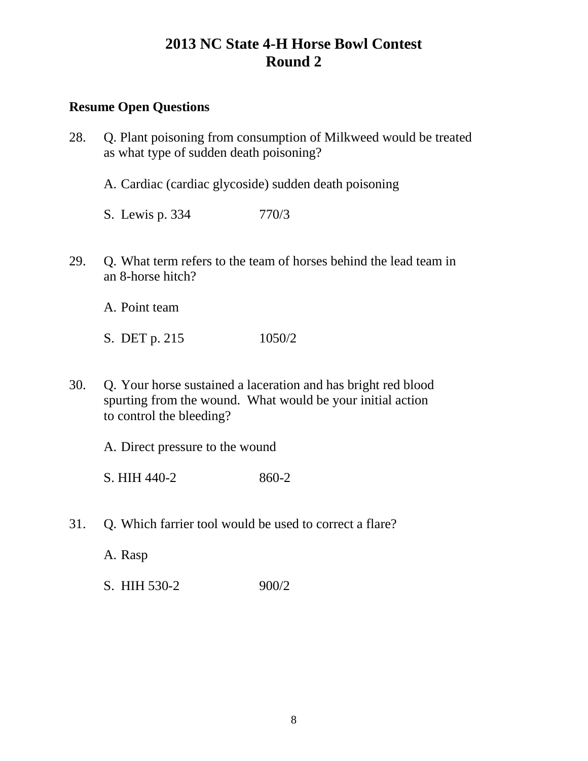#### **Resume Open Questions**

- 28. Q. Plant poisoning from consumption of Milkweed would be treated as what type of sudden death poisoning?
	- A. Cardiac (cardiac glycoside) sudden death poisoning
	- S. Lewis p. 334 770/3
- 29. Q. What term refers to the team of horses behind the lead team in an 8-horse hitch?

A. Point team

S. DET p. 215 1050/2

30. Q. Your horse sustained a laceration and has bright red blood spurting from the wound. What would be your initial action to control the bleeding?

A. Direct pressure to the wound

S. HIH 440-2 860-2

31. Q. Which farrier tool would be used to correct a flare?

A. Rasp

S. HIH 530-2 900/2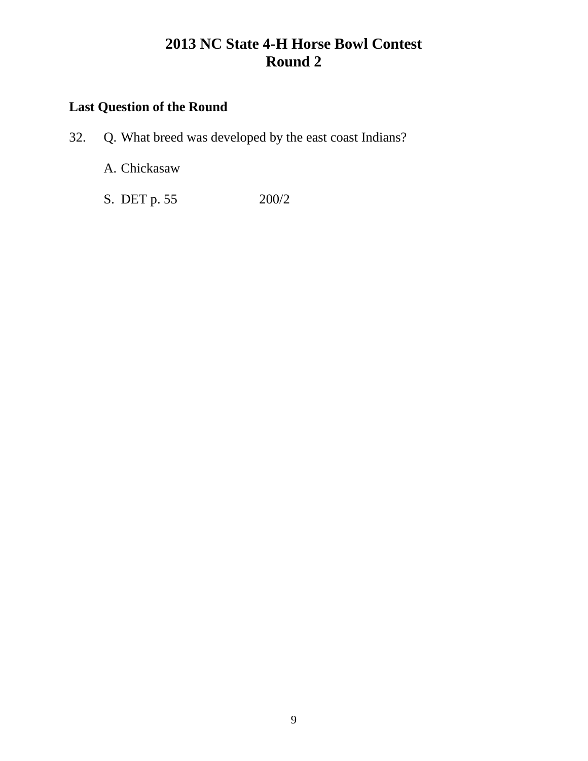# **Last Question of the Round**

32. Q. What breed was developed by the east coast Indians?

A. Chickasaw

S. DET p. 55 200/2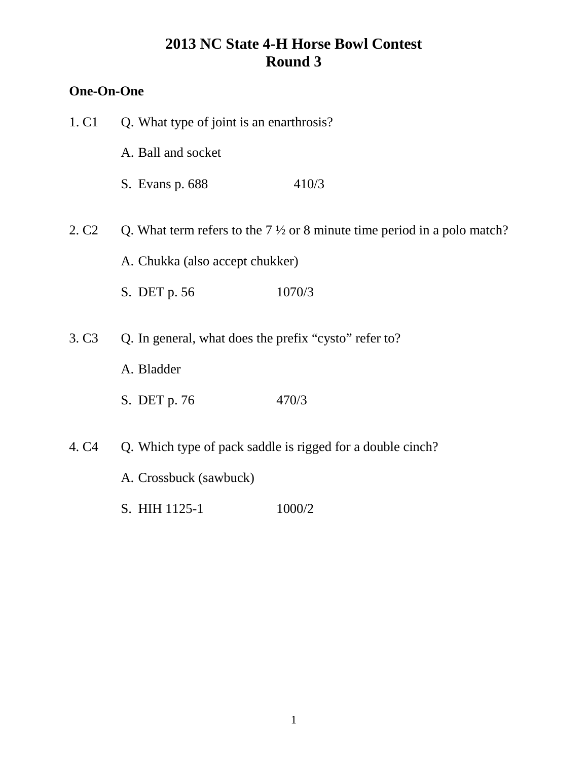## **One-On-One**

| 1. C <sub>1</sub> | Q. What type of joint is an enarthrosis?              |                                                                                    |
|-------------------|-------------------------------------------------------|------------------------------------------------------------------------------------|
|                   | A. Ball and socket                                    |                                                                                    |
|                   | S. Evans p. 688                                       | 410/3                                                                              |
| 2. C <sub>2</sub> |                                                       | Q. What term refers to the $7\frac{1}{2}$ or 8 minute time period in a polo match? |
|                   | A. Chukka (also accept chukker)                       |                                                                                    |
|                   | S. DET p. 56                                          | 1070/3                                                                             |
| 3. C <sub>3</sub> | Q. In general, what does the prefix "cysto" refer to? |                                                                                    |
|                   | A. Bladder                                            |                                                                                    |
|                   | S. DET p. 76                                          | 470/3                                                                              |
| 4. C <sub>4</sub> |                                                       | Q. Which type of pack saddle is rigged for a double cinch?                         |
|                   | A. Crossbuck (sawbuck)                                |                                                                                    |
|                   |                                                       |                                                                                    |

S. HIH 1125-1 1000/2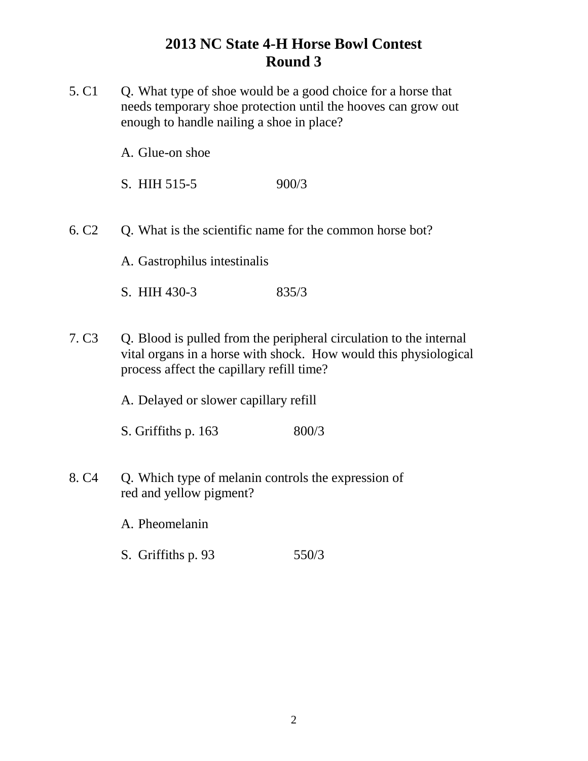5. C1 Q. What type of shoe would be a good choice for a horse that needs temporary shoe protection until the hooves can grow out enough to handle nailing a shoe in place?

A. Glue-on shoe

S. HIH 515-5 900/3

6. C2 Q. What is the scientific name for the common horse bot?

A. Gastrophilus intestinalis

S. HIH 430-3 835/3

7. C3 Q. Blood is pulled from the peripheral circulation to the internal vital organs in a horse with shock. How would this physiological process affect the capillary refill time?

A. Delayed or slower capillary refill

S. Griffiths p. 163 800/3

8. C4 Q. Which type of melanin controls the expression of red and yellow pigment?

A. Pheomelanin

S. Griffiths p. 93 550/3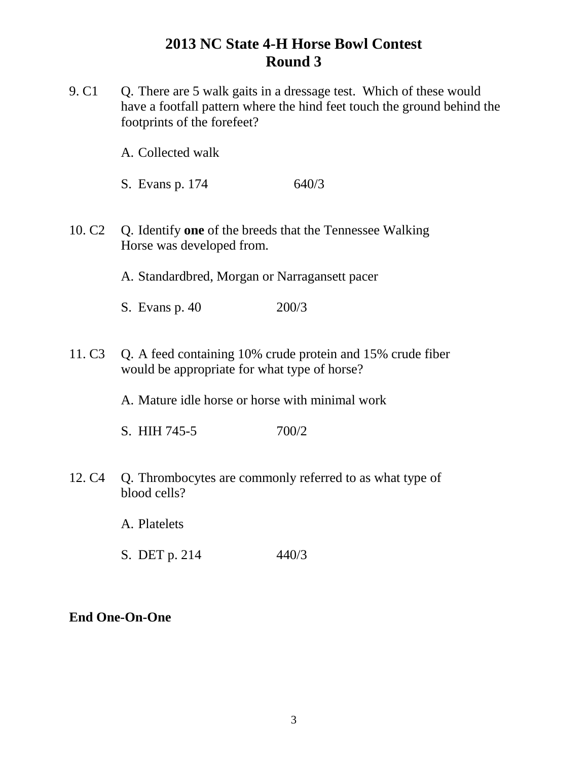9. C1 Q. There are 5 walk gaits in a dressage test. Which of these would have a footfall pattern where the hind feet touch the ground behind the footprints of the forefeet?

A. Collected walk

- S. Evans p. 174 640/3
- 10. C2 Q. Identify **one** of the breeds that the Tennessee Walking Horse was developed from.

A. Standardbred, Morgan or Narragansett pacer

- S. Evans p. 40 200/3
- 11. C3 Q. A feed containing 10% crude protein and 15% crude fiber would be appropriate for what type of horse?

A. Mature idle horse or horse with minimal work

S. HIH 745-5 700/2

12. C4 Q. Thrombocytes are commonly referred to as what type of blood cells?

A. Platelets

S. DET p. 214 440/3

### **End One-On-One**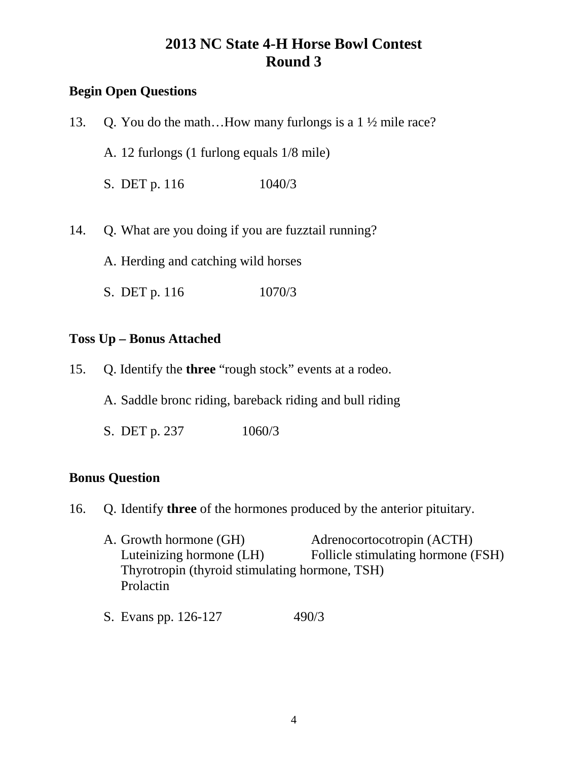## **Begin Open Questions**

| 13. | Q. You do the mathHow many furlongs is a $1\frac{1}{2}$ mile race? |
|-----|--------------------------------------------------------------------|
|     | A. 12 furlongs (1 furlong equals 1/8 mile)                         |
|     | S. DET p. 116<br>1040/3                                            |
| 14. | Q. What are you doing if you are fuzztail running?                 |
|     | A. Herding and catching wild horses                                |

S. DET p. 116 1070/3

#### **Toss Up – Bonus Attached**

15. Q. Identify the **three** "rough stock" events at a rodeo.

A. Saddle bronc riding, bareback riding and bull riding

S. DET p. 237 1060/3

### **Bonus Question**

16. Q. Identify **three** of the hormones produced by the anterior pituitary.

- A. Growth hormone (GH)  $\overline{A}$  Adrenocortocotropin (ACTH) Luteinizing hormone (LH) Follicle stimulating hormone (FSH) Thyrotropin (thyroid stimulating hormone, TSH) Prolactin
- S. Evans pp. 126-127 490/3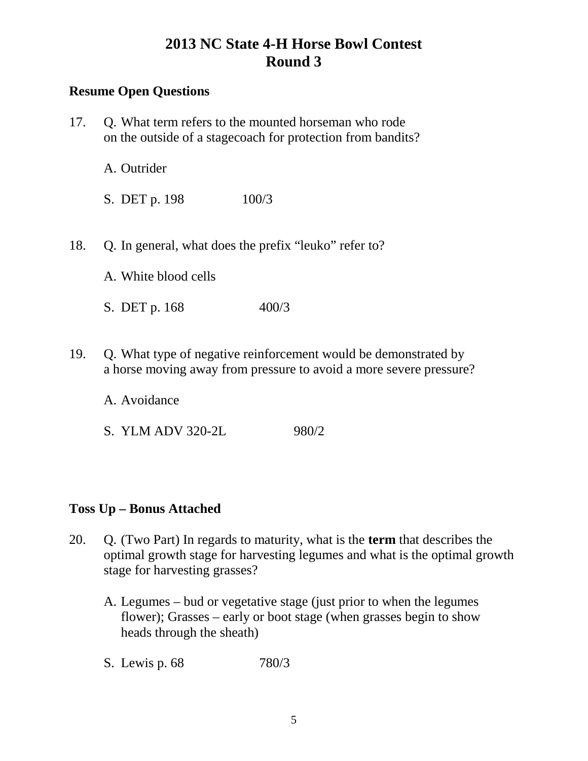## **Resume Open Questions**

| 17. | Q. What term refers to the mounted horseman who rode<br>on the outside of a stage coach for protection from bandits? |                                                                                                                                       |
|-----|----------------------------------------------------------------------------------------------------------------------|---------------------------------------------------------------------------------------------------------------------------------------|
|     | A. Outrider                                                                                                          |                                                                                                                                       |
|     | S. DET p. 198                                                                                                        | 100/3                                                                                                                                 |
| 18. |                                                                                                                      | Q. In general, what does the prefix "leuko" refer to?                                                                                 |
|     | A. White blood cells                                                                                                 |                                                                                                                                       |
|     | S. DET p. 168                                                                                                        | 400/3                                                                                                                                 |
| 19. |                                                                                                                      | Q. What type of negative reinforcement would be demonstrated by<br>a horse moving away from pressure to avoid a more severe pressure? |

A. Avoidance

S. YLM ADV 320-2L 980/2

## **Toss Up – Bonus Attached**

- 20. Q. (Two Part) In regards to maturity, what is the **term** that describes the optimal growth stage for harvesting legumes and what is the optimal growth stage for harvesting grasses?
	- A. Legumes bud or vegetative stage (just prior to when the legumes flower); Grasses – early or boot stage (when grasses begin to show heads through the sheath)
	- S. Lewis p. 68 780/3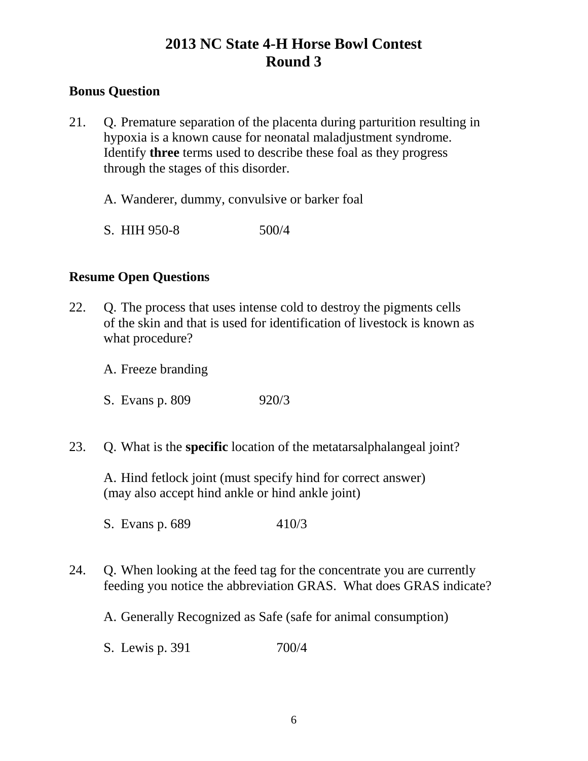### **Bonus Question**

- 21. Q. Premature separation of the placenta during parturition resulting in hypoxia is a known cause for neonatal maladjustment syndrome. Identify **three** terms used to describe these foal as they progress through the stages of this disorder.
	- A. Wanderer, dummy, convulsive or barker foal
	- S. HIH 950-8 500/4

### **Resume Open Questions**

22. Q. The process that uses intense cold to destroy the pigments cells of the skin and that is used for identification of livestock is known as what procedure?

A. Freeze branding

S. Evans p. 809 920/3

23. Q. What is the **specific** location of the metatarsalphalangeal joint?

A. Hind fetlock joint (must specify hind for correct answer) (may also accept hind ankle or hind ankle joint)

S. Evans p. 689 410/3

24. Q. When looking at the feed tag for the concentrate you are currently feeding you notice the abbreviation GRAS. What does GRAS indicate?

A. Generally Recognized as Safe (safe for animal consumption)

S. Lewis p. 391 700/4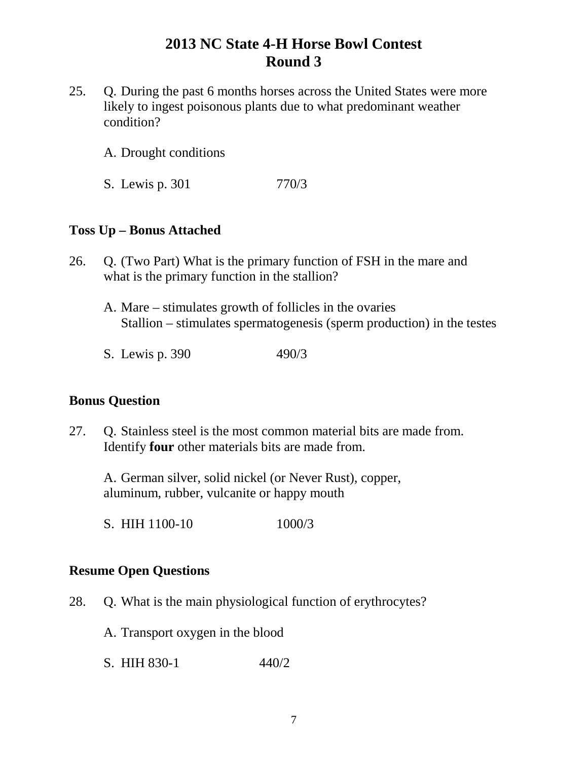- 25. Q. During the past 6 months horses across the United States were more likely to ingest poisonous plants due to what predominant weather condition?
	- A. Drought conditions
	- S. Lewis p. 301 770/3

#### **Toss Up – Bonus Attached**

- 26. Q. (Two Part) What is the primary function of FSH in the mare and what is the primary function in the stallion?
	- A. Mare stimulates growth of follicles in the ovaries Stallion – stimulates spermatogenesis (sperm production) in the testes
	- S. Lewis p. 390 490/3

### **Bonus Question**

27. Q. Stainless steel is the most common material bits are made from. Identify **four** other materials bits are made from.

A. German silver, solid nickel (or Never Rust), copper, aluminum, rubber, vulcanite or happy mouth

S. HIH 1100-10 1000/3

#### **Resume Open Questions**

- 28. Q. What is the main physiological function of erythrocytes?
	- A. Transport oxygen in the blood
	- S. HIH 830-1  $440/2$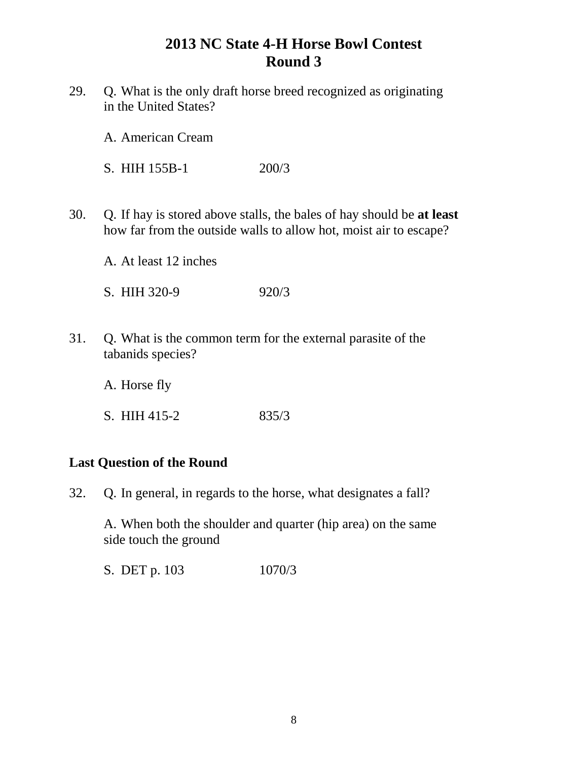29. Q. What is the only draft horse breed recognized as originating in the United States?

A. American Cream

S. HIH 155B-1 200/3

30. Q. If hay is stored above stalls, the bales of hay should be **at least** how far from the outside walls to allow hot, moist air to escape?

A. At least 12 inches

S. HIH 320-9 920/3

31. Q. What is the common term for the external parasite of the tabanids species?

A. Horse fly

S. HIH 415-2 835/3

### **Last Question of the Round**

32. Q. In general, in regards to the horse, what designates a fall?

A. When both the shoulder and quarter (hip area) on the same side touch the ground

S. DET p. 103 1070/3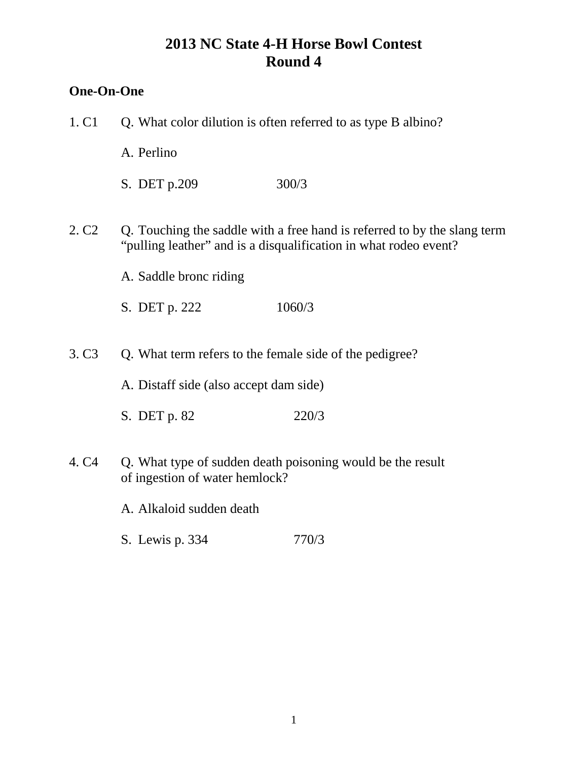## **One-On-One**

| 1. C1             | Q. What color dilution is often referred to as type B albino? |                                                                                                                                              |
|-------------------|---------------------------------------------------------------|----------------------------------------------------------------------------------------------------------------------------------------------|
|                   | A. Perlino                                                    |                                                                                                                                              |
|                   | S. DET p.209                                                  | 300/3                                                                                                                                        |
| 2. C <sub>2</sub> |                                                               | Q. Touching the saddle with a free hand is referred to by the slang term<br>"pulling leather" and is a disqualification in what rodeo event? |
|                   | A. Saddle bronc riding                                        |                                                                                                                                              |
|                   | S. DET p. 222                                                 | 1060/3                                                                                                                                       |
| 3. C <sub>3</sub> |                                                               | Q. What term refers to the female side of the pedigree?                                                                                      |
|                   | A. Distaff side (also accept dam side)                        |                                                                                                                                              |
|                   | S. DET p. 82                                                  | 220/3                                                                                                                                        |
| 4. C <sub>4</sub> | of ingestion of water hemlock?                                | Q. What type of sudden death poisoning would be the result                                                                                   |
|                   | A. Alkaloid sudden death                                      |                                                                                                                                              |
|                   | S. Lewis p. 334                                               | 770/3                                                                                                                                        |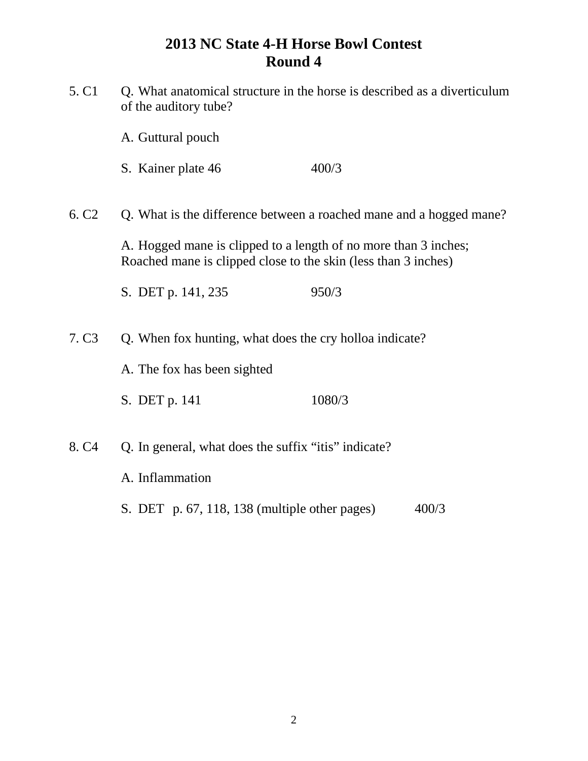| 5. C <sub>1</sub><br>Q. What anatomical structure in the horse is described as a diverticulum<br>of the auditory tube? |                                                                                                                                   |                                                                     |  |
|------------------------------------------------------------------------------------------------------------------------|-----------------------------------------------------------------------------------------------------------------------------------|---------------------------------------------------------------------|--|
|                                                                                                                        | A. Guttural pouch                                                                                                                 |                                                                     |  |
|                                                                                                                        | S. Kainer plate 46                                                                                                                | 400/3                                                               |  |
| 6. C <sub>2</sub>                                                                                                      |                                                                                                                                   | Q. What is the difference between a roached mane and a hogged mane? |  |
|                                                                                                                        | A. Hogged mane is clipped to a length of no more than 3 inches;<br>Roached mane is clipped close to the skin (less than 3 inches) |                                                                     |  |
|                                                                                                                        | S. DET p. 141, 235                                                                                                                | 950/3                                                               |  |
| 7. C <sub>3</sub>                                                                                                      |                                                                                                                                   | Q. When fox hunting, what does the cry holloa indicate?             |  |
|                                                                                                                        | A. The fox has been sighted                                                                                                       |                                                                     |  |
|                                                                                                                        | S. DET p. 141                                                                                                                     | 1080/3                                                              |  |
| 8. C <sub>4</sub>                                                                                                      |                                                                                                                                   | Q. In general, what does the suffix "itis" indicate?                |  |
|                                                                                                                        | A. Inflammation                                                                                                                   |                                                                     |  |
|                                                                                                                        | S. DET p. 67, 118, 138 (multiple other pages)                                                                                     | 400/3                                                               |  |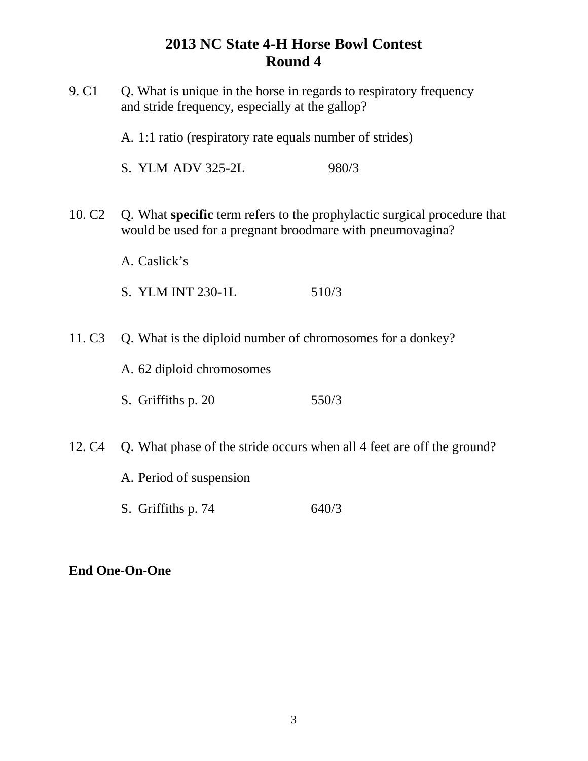| 9. C <sub>1</sub>  | Q. What is unique in the horse in regards to respiratory frequency<br>and stride frequency, especially at the gallop? |                                                                          |
|--------------------|-----------------------------------------------------------------------------------------------------------------------|--------------------------------------------------------------------------|
|                    | A. 1:1 ratio (respiratory rate equals number of strides)                                                              |                                                                          |
|                    | S. YLM ADV 325-2L                                                                                                     | 980/3                                                                    |
| 10. C <sub>2</sub> | would be used for a pregnant broodmare with pneumovagina?                                                             | Q. What specific term refers to the prophylactic surgical procedure that |
|                    | A. Caslick's                                                                                                          |                                                                          |
|                    | S. YLM INT 230-1L                                                                                                     | 510/3                                                                    |
| 11. C <sub>3</sub> | Q. What is the diploid number of chromosomes for a donkey?                                                            |                                                                          |
|                    | A. 62 diploid chromosomes                                                                                             |                                                                          |
|                    | S. Griffiths p. 20                                                                                                    | 550/3                                                                    |
| 12. C <sub>4</sub> |                                                                                                                       | Q. What phase of the stride occurs when all 4 feet are off the ground?   |
|                    | A. Period of suspension                                                                                               |                                                                          |
|                    | S. Griffiths p. 74                                                                                                    | 640/3                                                                    |

## **End One-On-One**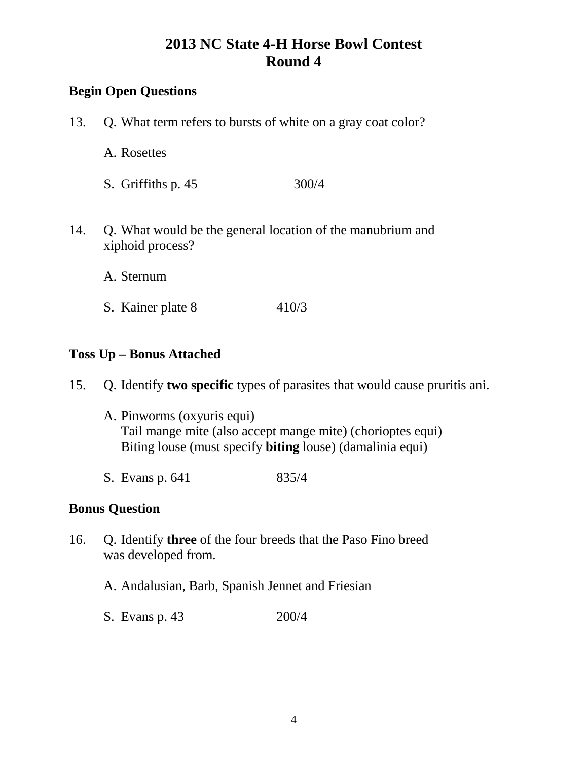## **Begin Open Questions**

- 13. Q. What term refers to bursts of white on a gray coat color?
	- A. Rosettes
	- S. Griffiths p. 45 300/4
- 14. Q. What would be the general location of the manubrium and xiphoid process?
	- A. Sternum
	- S. Kainer plate 8 410/3

#### **Toss Up – Bonus Attached**

- 15. Q. Identify **two specific** types of parasites that would cause pruritis ani.
	- A. Pinworms (oxyuris equi) Tail mange mite (also accept mange mite) (chorioptes equi) Biting louse (must specify **biting** louse) (damalinia equi)
	- S. Evans p. 641 835/4

#### **Bonus Question**

- 16. Q. Identify **three** of the four breeds that the Paso Fino breed was developed from.
	- A. Andalusian, Barb, Spanish Jennet and Friesian
	- S. Evans p. 43 200/4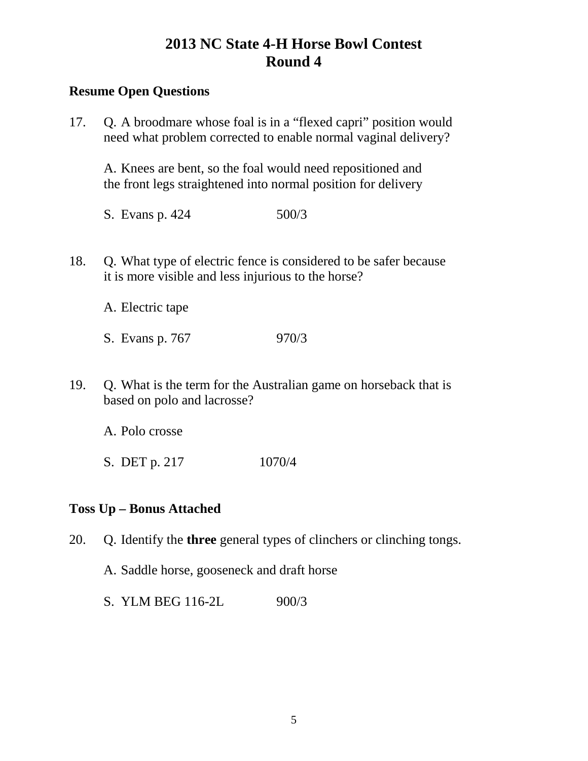### **Resume Open Questions**

17. Q. A broodmare whose foal is in a "flexed capri" position would need what problem corrected to enable normal vaginal delivery?

A. Knees are bent, so the foal would need repositioned and the front legs straightened into normal position for delivery

- S. Evans p. 424 500/3
- 18. Q. What type of electric fence is considered to be safer because it is more visible and less injurious to the horse?

A. Electric tape

- S. Evans p. 767 970/3
- 19. Q. What is the term for the Australian game on horseback that is based on polo and lacrosse?

A. Polo crosse

S. DET p. 217 1070/4

## **Toss Up – Bonus Attached**

- 20. Q. Identify the **three** general types of clinchers or clinching tongs.
	- A. Saddle horse, gooseneck and draft horse
	- S. YLM BEG 116-2L 900/3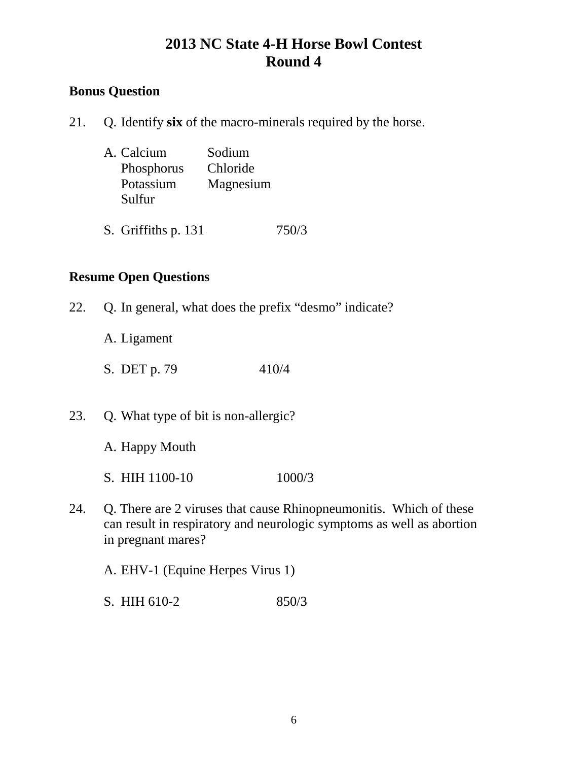## **Bonus Question**

21. Q. Identify **six** of the macro-minerals required by the horse.

| A. Calcium | Sodium    |
|------------|-----------|
| Phosphorus | Chloride  |
| Potassium  | Magnesium |
| Sulfur     |           |
|            |           |

S. Griffiths p. 131 750/3

### **Resume Open Questions**

- 22. Q. In general, what does the prefix "desmo" indicate?
	- A. Ligament
	- S. DET p. 79 410/4
- 23. Q. What type of bit is non-allergic?
	- A. Happy Mouth
	- S. HIH 1100-10 1000/3
- 24. Q. There are 2 viruses that cause Rhinopneumonitis. Which of these can result in respiratory and neurologic symptoms as well as abortion in pregnant mares?

A. EHV-1 (Equine Herpes Virus 1)

S. HIH 610-2 850/3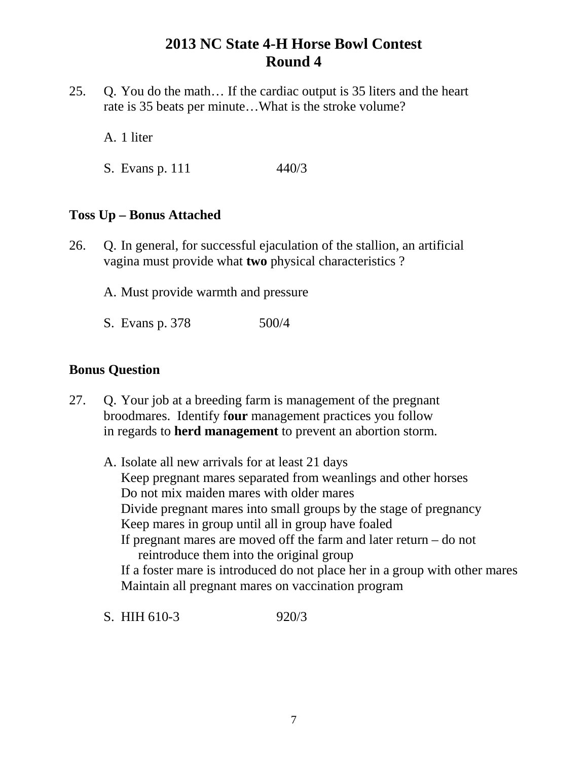25. Q. You do the math… If the cardiac output is 35 liters and the heart rate is 35 beats per minute…What is the stroke volume?

A. 1 liter

S. Evans p. 111 440/3

### **Toss Up – Bonus Attached**

- 26. Q. In general, for successful ejaculation of the stallion, an artificial vagina must provide what **two** physical characteristics ?
	- A. Must provide warmth and pressure
	- S. Evans p. 378 500/4

#### **Bonus Question**

- 27. Q. Your job at a breeding farm is management of the pregnant broodmares. Identify f**our** management practices you follow in regards to **herd management** to prevent an abortion storm.
	- A. Isolate all new arrivals for at least 21 days Keep pregnant mares separated from weanlings and other horses Do not mix maiden mares with older mares Divide pregnant mares into small groups by the stage of pregnancy Keep mares in group until all in group have foaled If pregnant mares are moved off the farm and later return – do not reintroduce them into the original group If a foster mare is introduced do not place her in a group with other mares Maintain all pregnant mares on vaccination program
	- S. HIH 610-3 920/3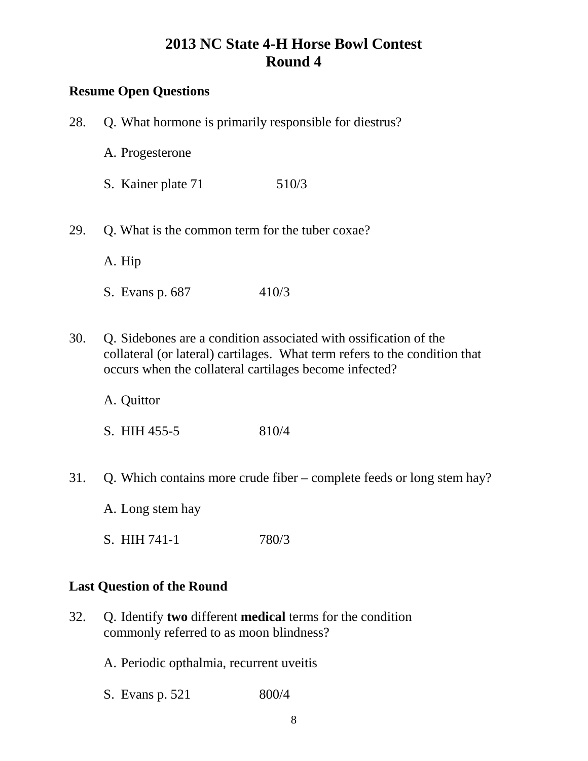# **Resume Open Questions**

| 28. | Q. What hormone is primarily responsible for diestrus?                                                                                                                                                   |                                                           |  |
|-----|----------------------------------------------------------------------------------------------------------------------------------------------------------------------------------------------------------|-----------------------------------------------------------|--|
|     | A. Progesterone                                                                                                                                                                                          |                                                           |  |
|     | S. Kainer plate 71                                                                                                                                                                                       | 510/3                                                     |  |
| 29. | Q. What is the common term for the tuber coxae?                                                                                                                                                          |                                                           |  |
|     | A. Hip                                                                                                                                                                                                   |                                                           |  |
|     | S. Evans p. 687                                                                                                                                                                                          | 410/3                                                     |  |
| 30. | Q. Sidebones are a condition associated with ossification of the<br>collateral (or lateral) cartilages. What term refers to the condition that<br>occurs when the collateral cartilages become infected? |                                                           |  |
|     | A. Quittor                                                                                                                                                                                               |                                                           |  |
|     | S. HIH 455-5                                                                                                                                                                                             | 810/4                                                     |  |
| 31. | Q. Which contains more crude fiber – complete feeds or long stem hay                                                                                                                                     |                                                           |  |
|     | A. Long stem hay                                                                                                                                                                                         |                                                           |  |
|     | S. HIH 741-1                                                                                                                                                                                             | 780/3                                                     |  |
|     | <b>Last Question of the Round</b>                                                                                                                                                                        |                                                           |  |
| 32. |                                                                                                                                                                                                          | Q. Identify two different medical terms for the condition |  |

commonly referred to as moon blindness?

A. Periodic opthalmia, recurrent uveitis

S. Evans p. 521 800/4

stem hay?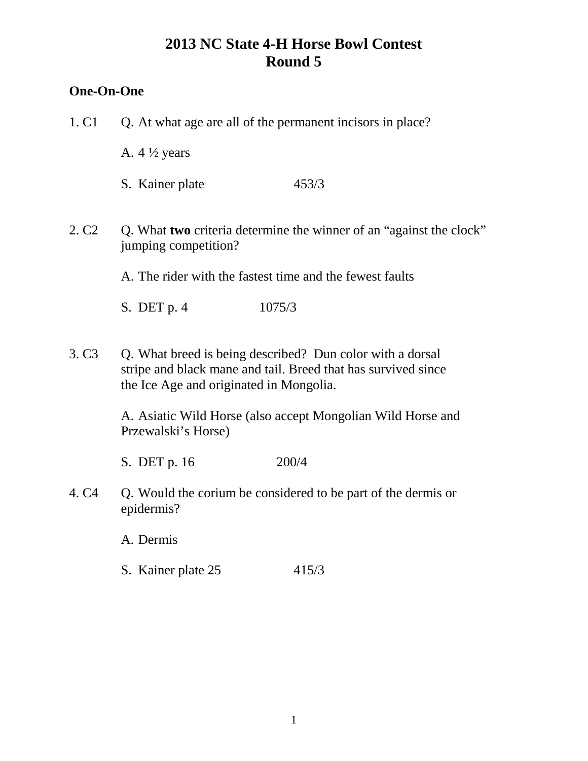### **One-On-One**

- 1. C1 Q. At what age are all of the permanent incisors in place?
	- A.  $4\frac{1}{2}$  years
	- S. Kainer plate 453/3
- 2. C2 Q. What **two** criteria determine the winner of an "against the clock" jumping competition?

A. The rider with the fastest time and the fewest faults

S. DET p. 4 1075/3

3. C3 Q. What breed is being described? Dun color with a dorsal stripe and black mane and tail. Breed that has survived since the Ice Age and originated in Mongolia.

> A. Asiatic Wild Horse (also accept Mongolian Wild Horse and Przewalski's Horse)

S. DET p. 16 200/4

4. C4 Q. Would the corium be considered to be part of the dermis or epidermis?

A. Dermis

S. Kainer plate 25 415/3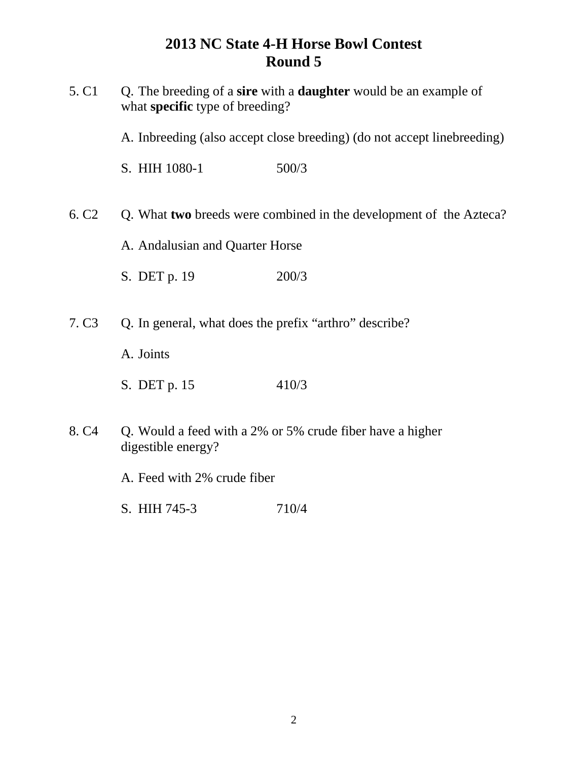| 5. C <sub>1</sub> | Q. The breeding of a sire with a <b>daughter</b> would be an example of<br>what specific type of breeding? |                                                                         |  |
|-------------------|------------------------------------------------------------------------------------------------------------|-------------------------------------------------------------------------|--|
|                   |                                                                                                            | A. Inbreeding (also accept close breeding) (do not accept linebreeding) |  |
|                   | S. HIH 1080-1                                                                                              | 500/3                                                                   |  |
| 6. C <sub>2</sub> |                                                                                                            | Q. What two breeds were combined in the development of the Azteca?      |  |
|                   | A. Andalusian and Quarter Horse                                                                            |                                                                         |  |
|                   | S. DET p. 19                                                                                               | 200/3                                                                   |  |
| 7. C <sub>3</sub> | Q. In general, what does the prefix "arthro" describe?                                                     |                                                                         |  |
|                   | A. Joints                                                                                                  |                                                                         |  |
|                   | S. DET p. 15                                                                                               | 410/3                                                                   |  |
| 8. C <sub>4</sub> | Q. Would a feed with a 2% or 5% crude fiber have a higher<br>digestible energy?                            |                                                                         |  |
|                   | A. Feed with 2% crude fiber                                                                                |                                                                         |  |
|                   | S. HIH 745-3                                                                                               | 710/4                                                                   |  |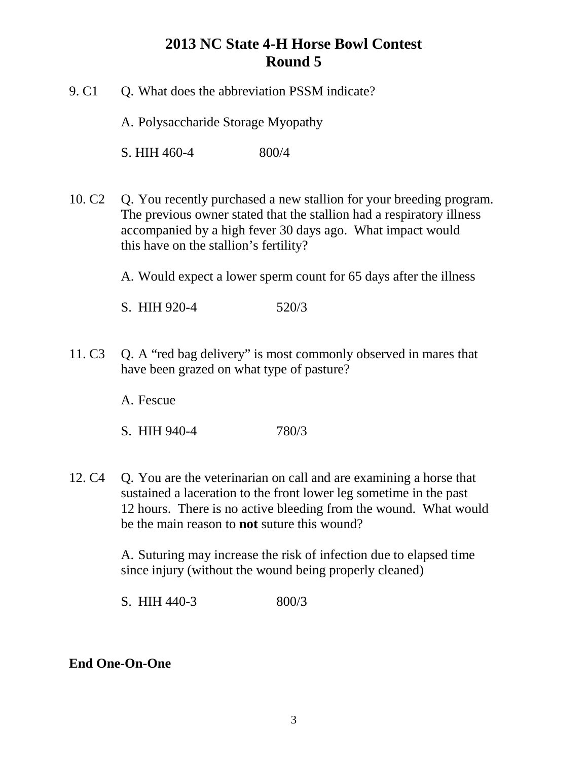- 9. C1 O. What does the abbreviation PSSM indicate? A. Polysaccharide Storage Myopathy S. HIH 460-4 800/4
- 10. C2 Q. You recently purchased a new stallion for your breeding program. The previous owner stated that the stallion had a respiratory illness accompanied by a high fever 30 days ago. What impact would this have on the stallion's fertility?

A. Would expect a lower sperm count for 65 days after the illness

S. HIH 920-4 520/3

11. C3 Q. A "red bag delivery" is most commonly observed in mares that have been grazed on what type of pasture?

A. Fescue

- S. HIH 940-4 780/3
- 12. C4 Q. You are the veterinarian on call and are examining a horse that sustained a laceration to the front lower leg sometime in the past 12 hours. There is no active bleeding from the wound. What would be the main reason to **not** suture this wound?

A. Suturing may increase the risk of infection due to elapsed time since injury (without the wound being properly cleaned)

S. HIH 440-3 800/3

**End One-On-One**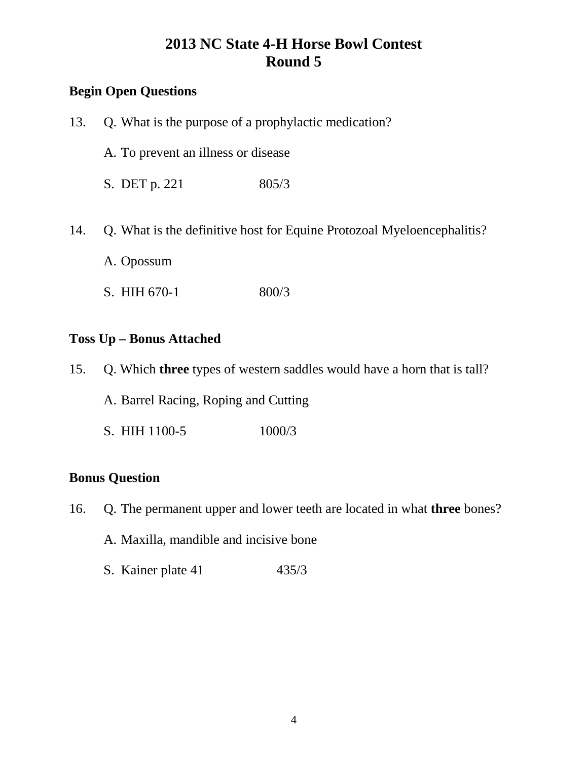## **Begin Open Questions**

| 13. | Q. What is the purpose of a prophylactic medication?                                 |       |  |
|-----|--------------------------------------------------------------------------------------|-------|--|
|     | A. To prevent an illness or disease                                                  |       |  |
|     | S. DET p. 221                                                                        | 805/3 |  |
| 14. | Q. What is the definitive host for Equine Protozoal Myeloencephalitis?<br>A. Opossum |       |  |
|     | S. HIH 670-1                                                                         | 800/3 |  |
|     | <b>Toss Up – Bonus Attached</b>                                                      |       |  |

| 15. Q. Which <b>three</b> types of western saddles would have a horn that is tall? |        |
|------------------------------------------------------------------------------------|--------|
| A. Barrel Racing, Roping and Cutting                                               |        |
| S. HIH 1100-5                                                                      | 1000/3 |

## **Bonus Question**

16. Q. The permanent upper and lower teeth are located in what **three** bones?

A. Maxilla, mandible and incisive bone

S. Kainer plate 41 435/3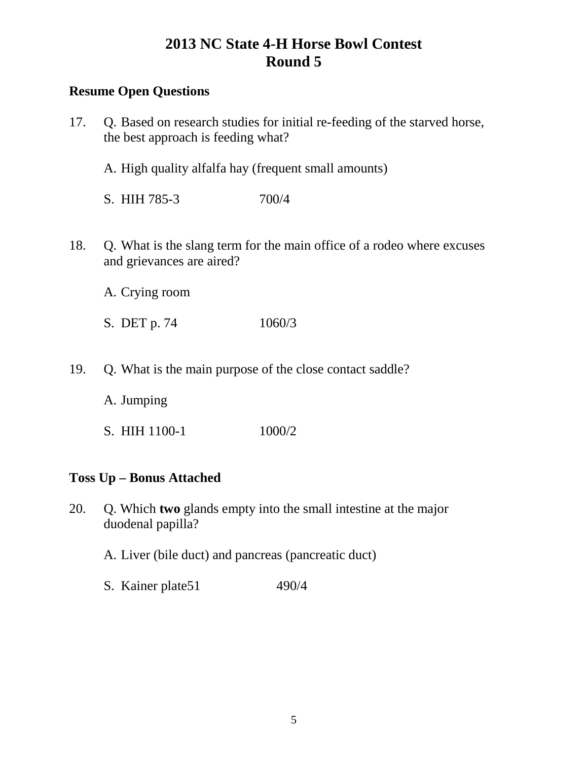## **Resume Open Questions**

| 17.                             | Q. Based on research studies for initial re-feeding of the starved horse,<br>the best approach is feeding what? |        |
|---------------------------------|-----------------------------------------------------------------------------------------------------------------|--------|
|                                 | A. High quality alfalfa hay (frequent small amounts)                                                            |        |
|                                 | S. HIH 785-3                                                                                                    | 700/4  |
| 18.                             | Q. What is the slang term for the main office of a rodeo where excuses<br>and grievances are aired?             |        |
|                                 | A. Crying room                                                                                                  |        |
|                                 | S. DET p. 74                                                                                                    | 1060/3 |
| 19.                             | Q. What is the main purpose of the close contact saddle?                                                        |        |
| A. Jumping                      |                                                                                                                 |        |
|                                 | S. HIH 1100-1                                                                                                   | 1000/2 |
| <b>Toss Up - Bonus Attached</b> |                                                                                                                 |        |

20. Q. Which **two** glands empty into the small intestine at the major duodenal papilla?

A. Liver (bile duct) and pancreas (pancreatic duct)

S. Kainer plate51 490/4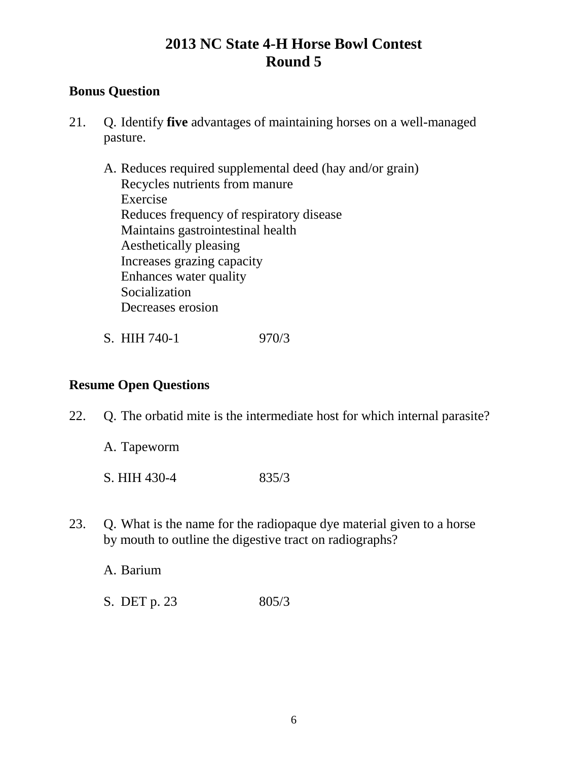### **Bonus Question**

- 21. Q. Identify **five** advantages of maintaining horses on a well-managed pasture.
	- A. Reduces required supplemental deed (hay and/or grain) Recycles nutrients from manure Exercise Reduces frequency of respiratory disease Maintains gastrointestinal health Aesthetically pleasing Increases grazing capacity Enhances water quality Socialization Decreases erosion
	- S. HIH 740-1 970/3

## **Resume Open Questions**

- 22. Q. The orbatid mite is the intermediate host for which internal parasite?
	- A. Tapeworm S. HIH 430-4 835/3
- 23. Q. What is the name for the radiopaque dye material given to a horse by mouth to outline the digestive tract on radiographs?

A. Barium

S. DET p. 23 805/3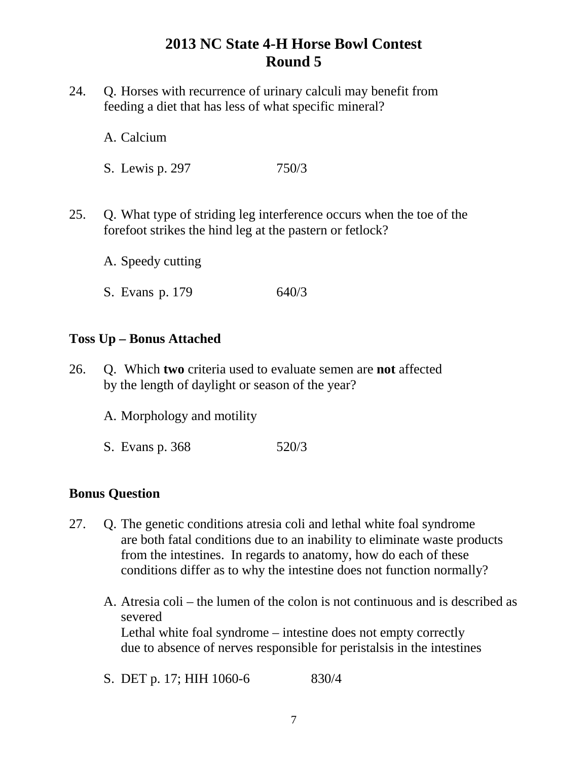- 24. Q. Horses with recurrence of urinary calculi may benefit from feeding a diet that has less of what specific mineral?
	- A. Calcium
	- S. Lewis p. 297 750/3
- 25. Q. What type of striding leg interference occurs when the toe of the forefoot strikes the hind leg at the pastern or fetlock?
	- A. Speedy cutting
	- S. Evans p. 179 640/3

#### **Toss Up – Bonus Attached**

- 26. Q. Which **two** criteria used to evaluate semen are **not** affected by the length of daylight or season of the year?
	- A. Morphology and motility
	- S. Evans p. 368 520/3

#### **Bonus Question**

- 27. Q. The genetic conditions atresia coli and lethal white foal syndrome are both fatal conditions due to an inability to eliminate waste products from the intestines. In regards to anatomy, how do each of these conditions differ as to why the intestine does not function normally?
	- A. Atresia coli the lumen of the colon is not continuous and is described as severed Lethal white foal syndrome – intestine does not empty correctly due to absence of nerves responsible for peristalsis in the intestines
	- S. DET p. 17; HIH 1060-6 830/4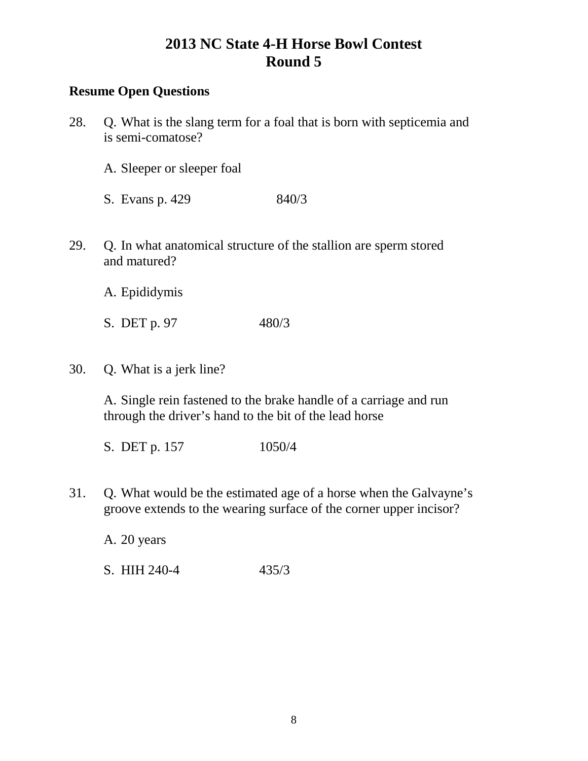### **Resume Open Questions**

- 28. Q. What is the slang term for a foal that is born with septicemia and is semi-comatose?
	- A. Sleeper or sleeper foal
	- S. Evans p. 429 840/3
- 29. Q. In what anatomical structure of the stallion are sperm stored and matured?
	- A. Epididymis
	- S. DET p. 97 480/3
- 30. Q. What is a jerk line?

A. Single rein fastened to the brake handle of a carriage and run through the driver's hand to the bit of the lead horse

- S. DET p. 157 1050/4
- 31. Q. What would be the estimated age of a horse when the Galvayne's groove extends to the wearing surface of the corner upper incisor?

A. 20 years

S. HIH 240-4 435/3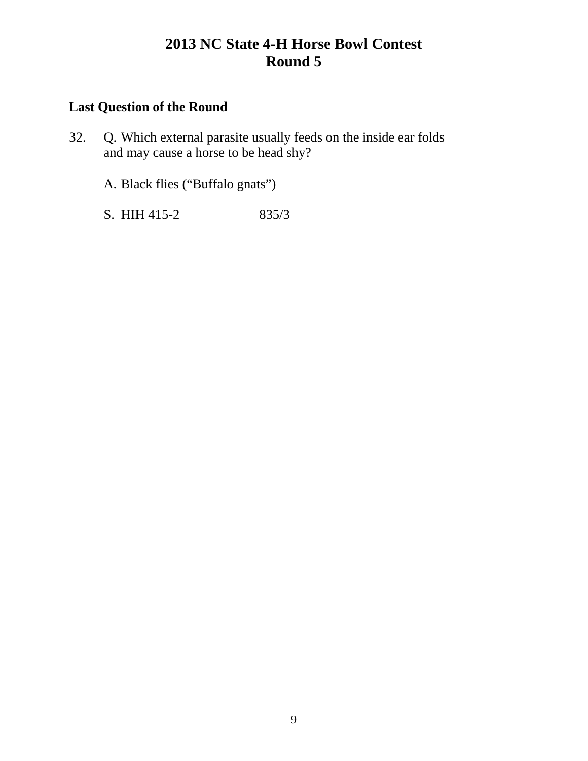## **Last Question of the Round**

32. Q. Which external parasite usually feeds on the inside ear folds and may cause a horse to be head shy?

A. Black flies ("Buffalo gnats")

S. HIH 415-2 835/3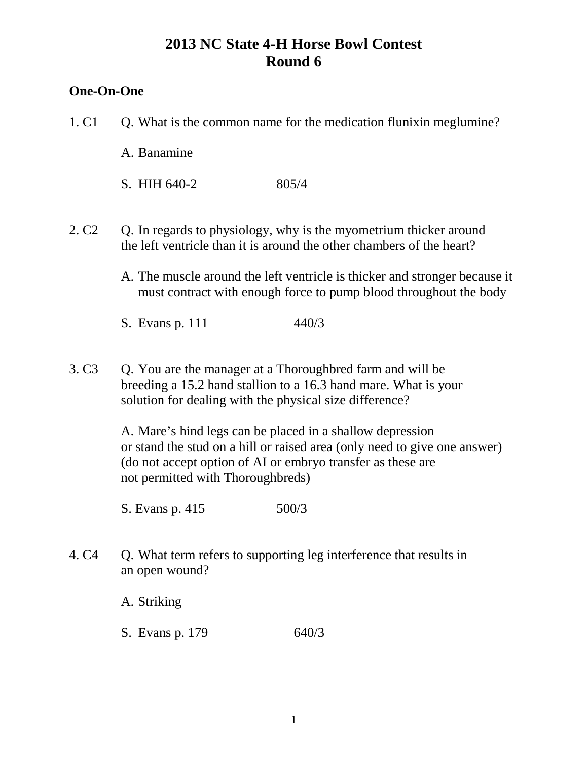#### **One-On-One**

- 1. C1 C. What is the common name for the medication flunixin meglumine?
	- A. Banamine
	- S. HIH 640-2 805/4
- 2. C2 Q. In regards to physiology, why is the myometrium thicker around the left ventricle than it is around the other chambers of the heart?
	- A. The muscle around the left ventricle is thicker and stronger because it must contract with enough force to pump blood throughout the body
	- S. Evans p. 111 440/3
- 3. C3 Q. You are the manager at a Thoroughbred farm and will be breeding a 15.2 hand stallion to a 16.3 hand mare. What is your solution for dealing with the physical size difference?

A. Mare's hind legs can be placed in a shallow depression or stand the stud on a hill or raised area (only need to give one answer) (do not accept option of AI or embryo transfer as these are not permitted with Thoroughbreds)

S. Evans p. 415 500/3

4. C4 Q. What term refers to supporting leg interference that results in an open wound?

A. Striking

S. Evans p. 179 640/3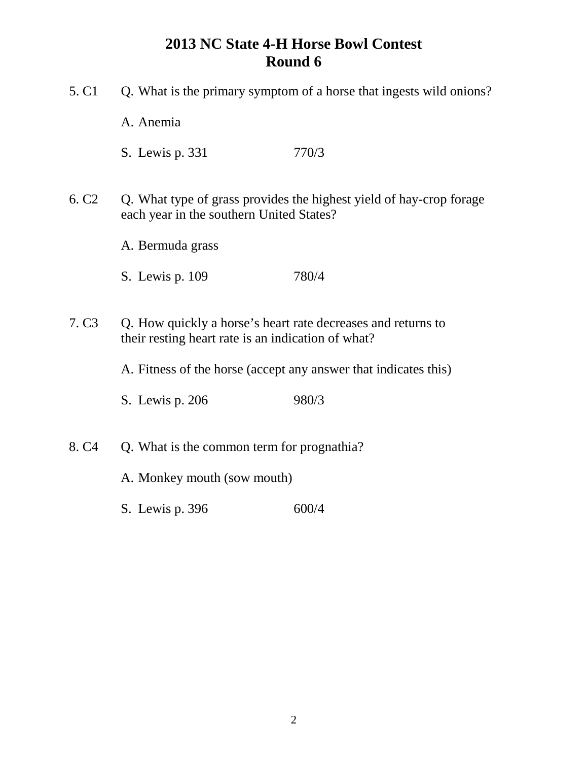5. C1 Q. What is the primary symptom of a horse that ingests wild onions? A. Anemia S. Lewis p. 331 770/3 6. C2 Q. What type of grass provides the highest yield of hay-crop forage each year in the southern United States? A. Bermuda grass S. Lewis p. 109 780/4 7. C3 Q. How quickly a horse's heart rate decreases and returns to their resting heart rate is an indication of what? A. Fitness of the horse (accept any answer that indicates this) S. Lewis p. 206 980/3 8. C4 Q. What is the common term for prognathia? A. Monkey mouth (sow mouth) S. Lewis p. 396 600/4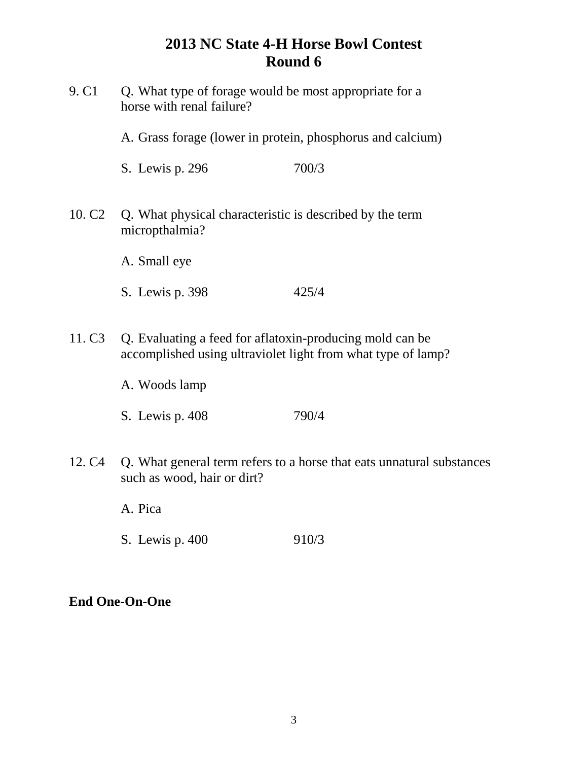9. C1 Q. What type of forage would be most appropriate for a horse with renal failure? A. Grass forage (lower in protein, phosphorus and calcium) S. Lewis p. 296 700/3 10. C2 Q. What physical characteristic is described by the term micropthalmia? A. Small eye S. Lewis p. 398 425/4 11. C3 Q. Evaluating a feed for aflatoxin-producing mold can be accomplished using ultraviolet light from what type of lamp? A. Woods lamp

- S. Lewis p. 408 790/4
- 12. C4 Q. What general term refers to a horse that eats unnatural substances such as wood, hair or dirt?

A. Pica

S. Lewis p. 400 910/3

## **End One-On-One**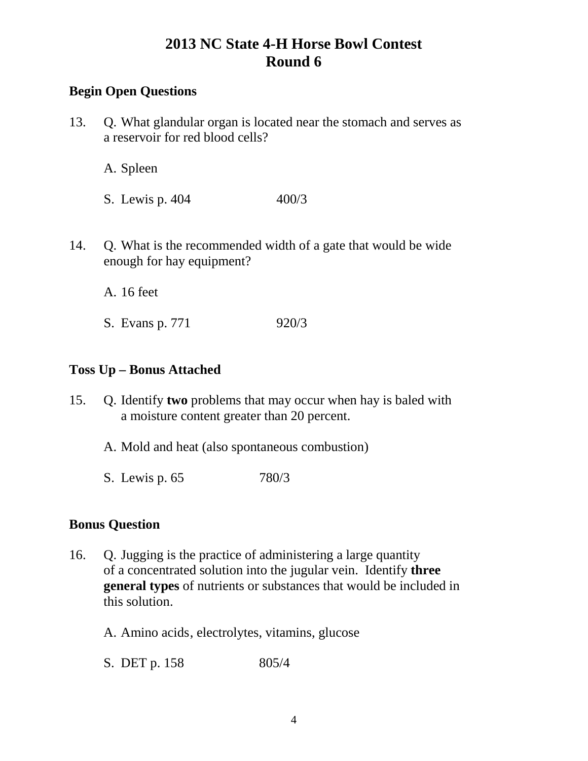## **Begin Open Questions**

13. Q. What glandular organ is located near the stomach and serves as a reservoir for red blood cells?

A. Spleen

- S. Lewis p. 404 400/3
- 14. Q. What is the recommended width of a gate that would be wide enough for hay equipment?

A. 16 feet

S. Evans p. 771 920/3

#### **Toss Up – Bonus Attached**

15. Q. Identify **two** problems that may occur when hay is baled with a moisture content greater than 20 percent.

A. Mold and heat (also spontaneous combustion)

S. Lewis p. 65 780/3

#### **Bonus Question**

- 16. Q. Jugging is the practice of administering a large quantity of a concentrated solution into the jugular vein. Identify **three general types** of nutrients or substances that would be included in this solution.
	- A. Amino acids, electrolytes, vitamins, glucose
	- S. DET p. 158 805/4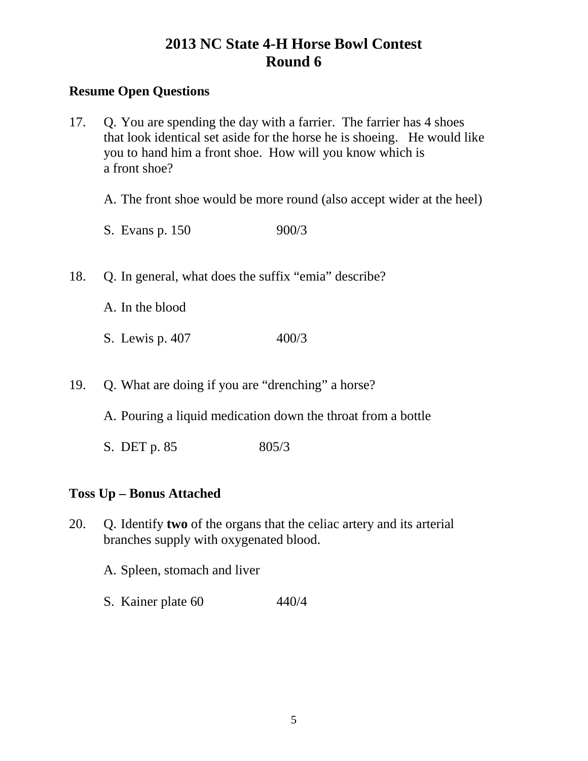### **Resume Open Questions**

17. Q. You are spending the day with a farrier. The farrier has 4 shoes that look identical set aside for the horse he is shoeing. He would like you to hand him a front shoe. How will you know which is a front shoe?

A. The front shoe would be more round (also accept wider at the heel)

- S. Evans p. 150 900/3
- 18. Q. In general, what does the suffix "emia" describe?
	- A. In the blood
	- S. Lewis p. 407 400/3
- 19. Q. What are doing if you are "drenching" a horse?

A. Pouring a liquid medication down the throat from a bottle

S. DET p. 85 805/3

## **Toss Up – Bonus Attached**

- 20. Q. Identify **two** of the organs that the celiac artery and its arterial branches supply with oxygenated blood.
	- A. Spleen, stomach and liver
	- S. Kainer plate 60 440/4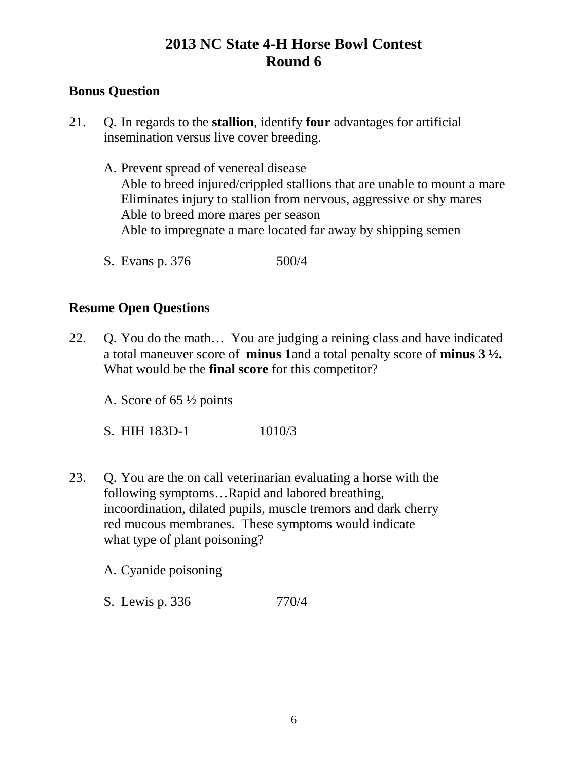### **Bonus Question**

- 21. Q. In regards to the **stallion**, identify **four** advantages for artificial insemination versus live cover breeding.
	- A. Prevent spread of venereal disease Able to breed injured/crippled stallions that are unable to mount a mare Eliminates injury to stallion from nervous, aggressive or shy mares Able to breed more mares per season Able to impregnate a mare located far away by shipping semen
	- S. Evans p. 376 500/4

### **Resume Open Questions**

- 22. Q. You do the math… You are judging a reining class and have indicated a total maneuver score of **minus 1**and a total penalty score of **minus 3 ½.** What would be the **final score** for this competitor?
	- A. Score of 65 ½ points
	- S. HIH 183D-1 1010/3
- 23. Q. You are the on call veterinarian evaluating a horse with the following symptoms…Rapid and labored breathing, incoordination, dilated pupils, muscle tremors and dark cherry red mucous membranes. These symptoms would indicate what type of plant poisoning?

A. Cyanide poisoning

S. Lewis p. 336 770/4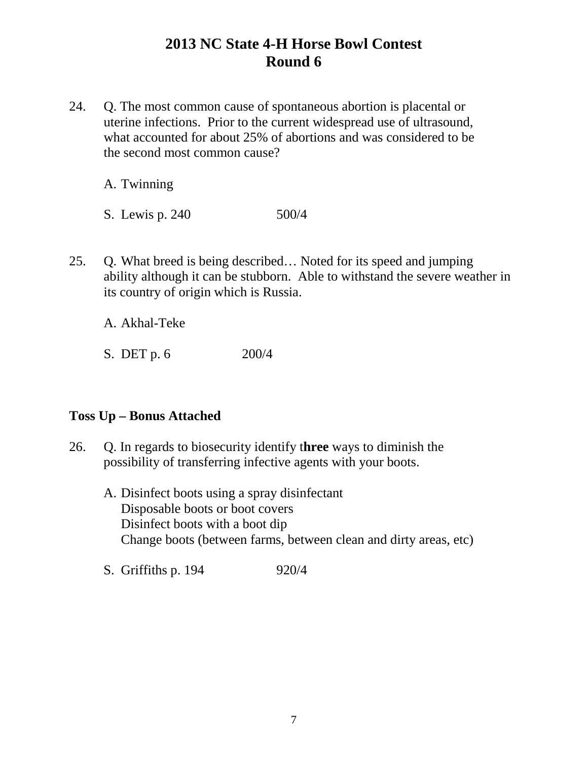24. Q. The most common cause of spontaneous abortion is placental or uterine infections. Prior to the current widespread use of ultrasound, what accounted for about 25% of abortions and was considered to be the second most common cause?

A. Twinning

S. Lewis p. 240 500/4

25. Q. What breed is being described… Noted for its speed and jumping ability although it can be stubborn. Able to withstand the severe weather in its country of origin which is Russia.

A. Akhal-Teke

S. DET p. 6 200/4

#### **Toss Up – Bonus Attached**

- 26. Q. In regards to biosecurity identify t**hree** ways to diminish the possibility of transferring infective agents with your boots.
	- A. Disinfect boots using a spray disinfectant Disposable boots or boot covers Disinfect boots with a boot dip Change boots (between farms, between clean and dirty areas, etc)
	- S. Griffiths p. 194 920/4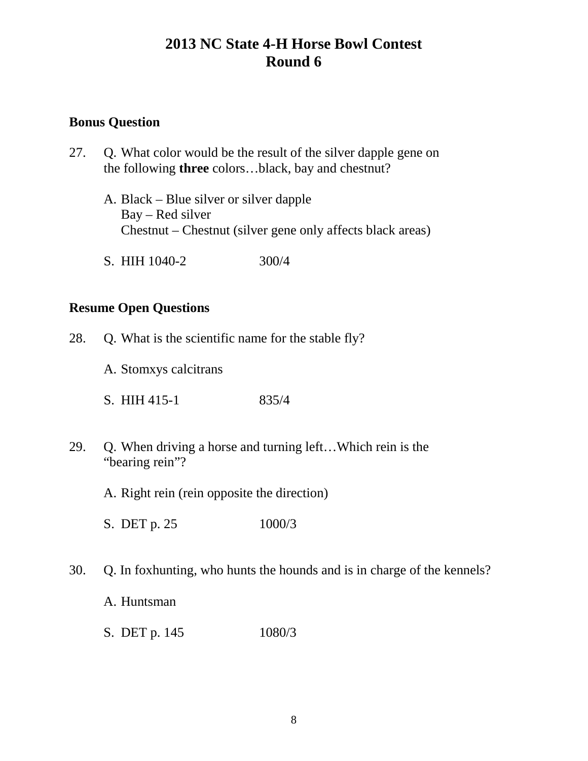#### **Bonus Question**

- 27. Q. What color would be the result of the silver dapple gene on the following **three** colors…black, bay and chestnut?
	- A. Black Blue silver or silver dapple Bay – Red silver Chestnut – Chestnut (silver gene only affects black areas)
	- S. HIH 1040-2 300/4

#### **Resume Open Questions**

- 28. Q. What is the scientific name for the stable fly?
	- A. Stomxys calcitrans
	- S. HIH 415-1 835/4
- 29. Q. When driving a horse and turning left…Which rein is the "bearing rein"?
	- A. Right rein (rein opposite the direction)
	- S. DET p. 25 1000/3
- 30. Q. In foxhunting, who hunts the hounds and is in charge of the kennels?
	- A. Huntsman
	- S. DET p. 145 1080/3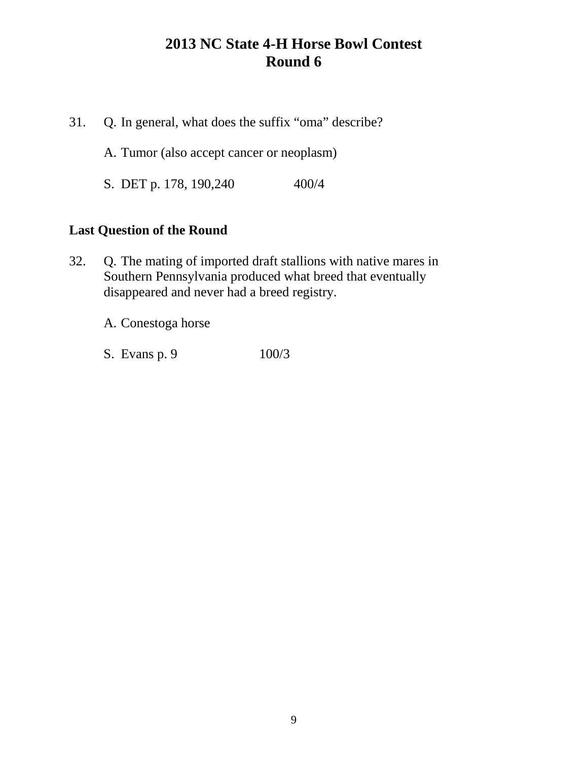31. Q. In general, what does the suffix "oma" describe?

A. Tumor (also accept cancer or neoplasm)

S. DET p. 178, 190,240 400/4

### **Last Question of the Round**

32. Q. The mating of imported draft stallions with native mares in Southern Pennsylvania produced what breed that eventually disappeared and never had a breed registry.

A. Conestoga horse

S. Evans p. 9 100/3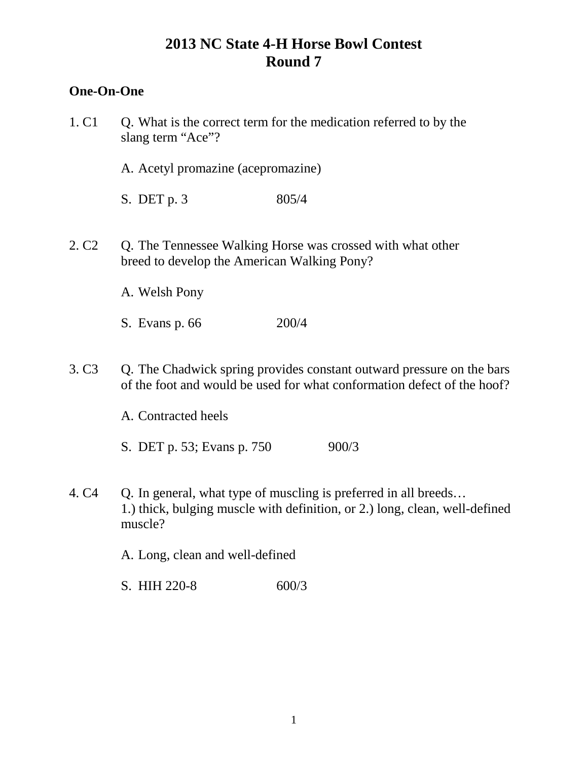## **One-On-One**

| 1. C <sub>1</sub> | Q. What is the correct term for the medication referred to by the<br>slang term "Ace"?                                                           |       |                                                                             |
|-------------------|--------------------------------------------------------------------------------------------------------------------------------------------------|-------|-----------------------------------------------------------------------------|
|                   | A. Acetyl promazine (acepromazine)                                                                                                               |       |                                                                             |
|                   | S. DET $p.3$                                                                                                                                     | 805/4 |                                                                             |
| 2. C <sub>2</sub> | Q. The Tennessee Walking Horse was crossed with what other<br>breed to develop the American Walking Pony?                                        |       |                                                                             |
|                   | A. Welsh Pony                                                                                                                                    |       |                                                                             |
|                   | S. Evans p. 66                                                                                                                                   | 200/4 |                                                                             |
| 3. C <sub>3</sub> | Q. The Chadwick spring provides constant outward pressure on the bars<br>of the foot and would be used for what conformation defect of the hoof? |       |                                                                             |
|                   | A. Contracted heels                                                                                                                              |       |                                                                             |
|                   | S. DET p. 53; Evans p. 750                                                                                                                       |       | 900/3                                                                       |
| 4. C <sub>4</sub> | Q. In general, what type of muscling is preferred in all breeds<br>muscle?                                                                       |       | 1.) thick, bulging muscle with definition, or 2.) long, clean, well-defined |
|                   | A. Long, clean and well-defined                                                                                                                  |       |                                                                             |

S. HIH 220-8 600/3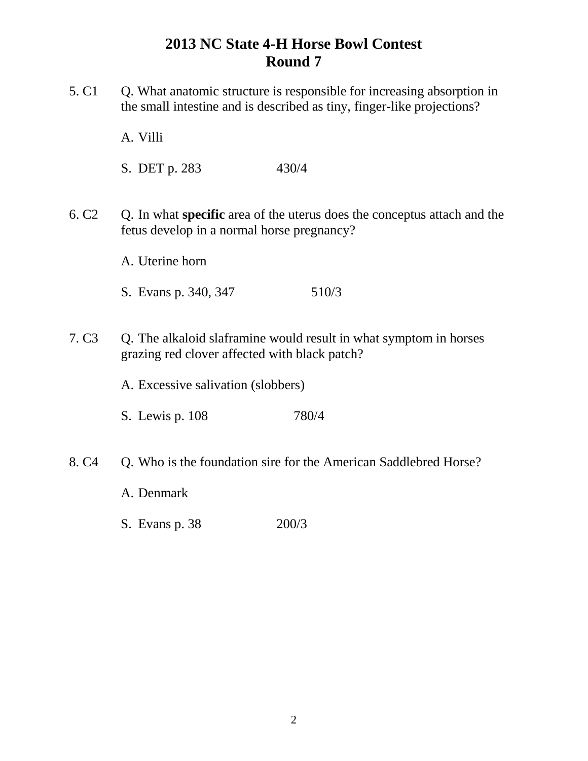5. C1 Q. What anatomic structure is responsible for increasing absorption in the small intestine and is described as tiny, finger-like projections?

A. Villi

S. DET p. 283 430/4

6. C2 Q. In what **specific** area of the uterus does the conceptus attach and the fetus develop in a normal horse pregnancy?

A. Uterine horn

- S. Evans p. 340, 347 510/3
- 7. C3 Q. The alkaloid slaframine would result in what symptom in horses grazing red clover affected with black patch?

A. Excessive salivation (slobbers)

- S. Lewis p. 108 780/4
- 8. C4 Q. Who is the foundation sire for the American Saddlebred Horse?
	- A. Denmark
	- S. Evans p. 38 200/3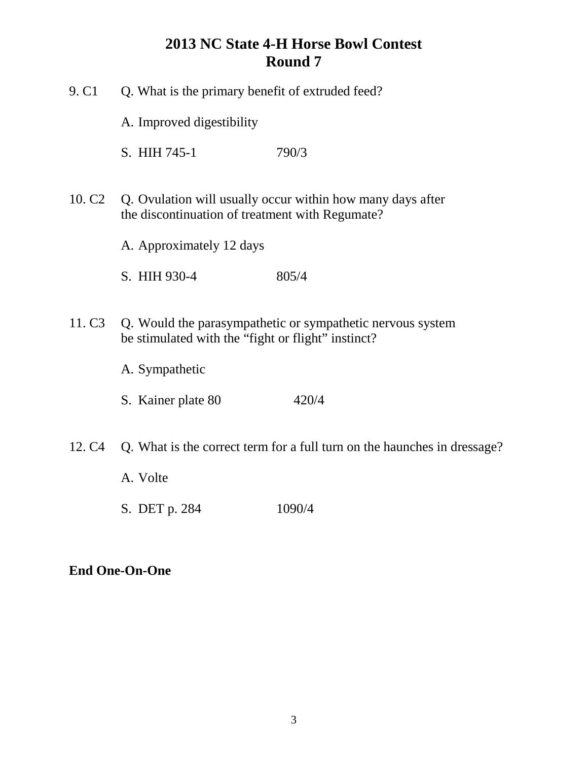| 9. C <sub>1</sub>  | Q. What is the primary benefit of extruded feed?   |                                                                          |
|--------------------|----------------------------------------------------|--------------------------------------------------------------------------|
|                    | A. Improved digestibility                          |                                                                          |
|                    | S. HIH 745-1                                       | 790/3                                                                    |
| 10. C <sub>2</sub> | the discontinuation of treatment with Regumate?    | Q. Ovulation will usually occur within how many days after               |
|                    | A. Approximately 12 days                           |                                                                          |
|                    | S. HIH 930-4                                       | 805/4                                                                    |
| 11. C <sub>3</sub> | be stimulated with the "fight or flight" instinct? | Q. Would the parasympathetic or sympathetic nervous system               |
|                    | A. Sympathetic                                     |                                                                          |
|                    | S. Kainer plate 80                                 | 420/4                                                                    |
| 12. C <sub>4</sub> |                                                    | Q. What is the correct term for a full turn on the haunches in dressage? |
|                    | A. Volte                                           |                                                                          |
|                    |                                                    |                                                                          |

S. DET p. 284 1090/4

# **End One-On-One**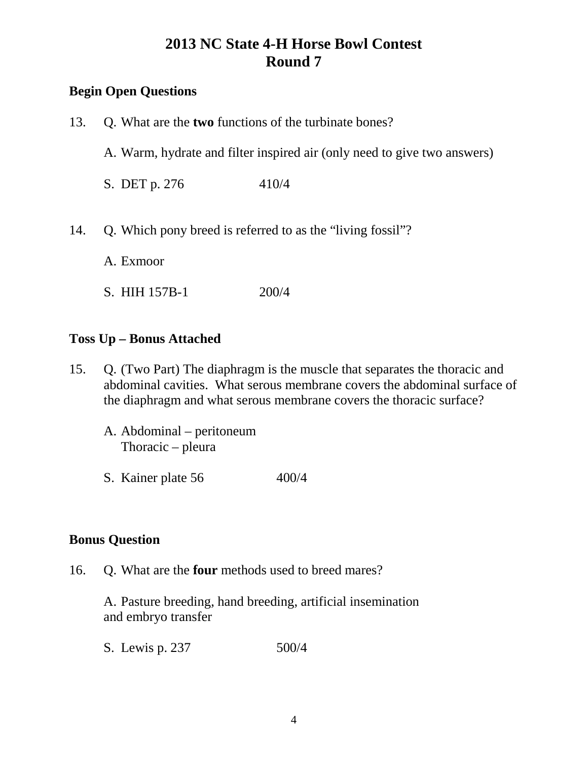## **Begin Open Questions**

| 13. | Q. What are the <b>two</b> functions of the turbinate bones?             |       |
|-----|--------------------------------------------------------------------------|-------|
|     | A. Warm, hydrate and filter inspired air (only need to give two answers) |       |
|     | S. DET p. 276                                                            | 410/4 |
| 14. | Q. Which pony breed is referred to as the "living fossil"?               |       |
|     | A. Exmoor                                                                |       |

**Toss Up – Bonus Attached**

S. HIH 157B-1 200/4

- 15. Q. (Two Part) The diaphragm is the muscle that separates the thoracic and abdominal cavities. What serous membrane covers the abdominal surface of the diaphragm and what serous membrane covers the thoracic surface?
	- A. Abdominal peritoneum Thoracic – pleura
	- S. Kainer plate 56 400/4

#### **Bonus Question**

16. Q. What are the **four** methods used to breed mares?

A. Pasture breeding, hand breeding, artificial insemination and embryo transfer

S. Lewis p. 237 500/4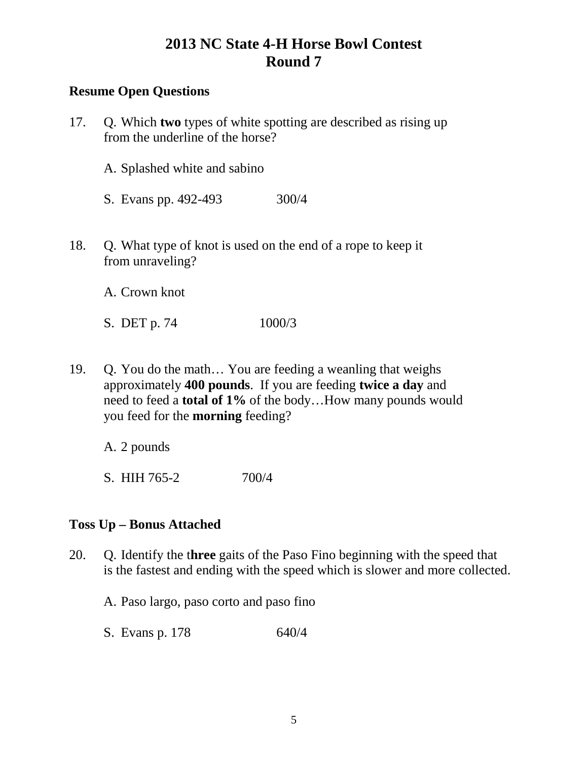### **Resume Open Questions**

| 17. | Q. Which two types of white spotting are described as rising up<br>from the underline of the horse? |  |
|-----|-----------------------------------------------------------------------------------------------------|--|
|     | A. Splashed white and sabino                                                                        |  |
|     | S. Evans pp. 492-493<br>300/4                                                                       |  |
| 18. | Q. What type of knot is used on the end of a rope to keep it<br>from unraveling?                    |  |
|     | A. Crown knot                                                                                       |  |

19. Q. You do the math… You are feeding a weanling that weighs approximately **400 pounds**. If you are feeding **twice a day** and need to feed a **total of 1%** of the body…How many pounds would you feed for the **morning** feeding?

A. 2 pounds

S. HIH 765-2 700/4

S. DET p. 74 1000/3

#### **Toss Up – Bonus Attached**

- 20. Q. Identify the t**hree** gaits of the Paso Fino beginning with the speed that is the fastest and ending with the speed which is slower and more collected.
	- A. Paso largo, paso corto and paso fino
	- S. Evans p. 178 640/4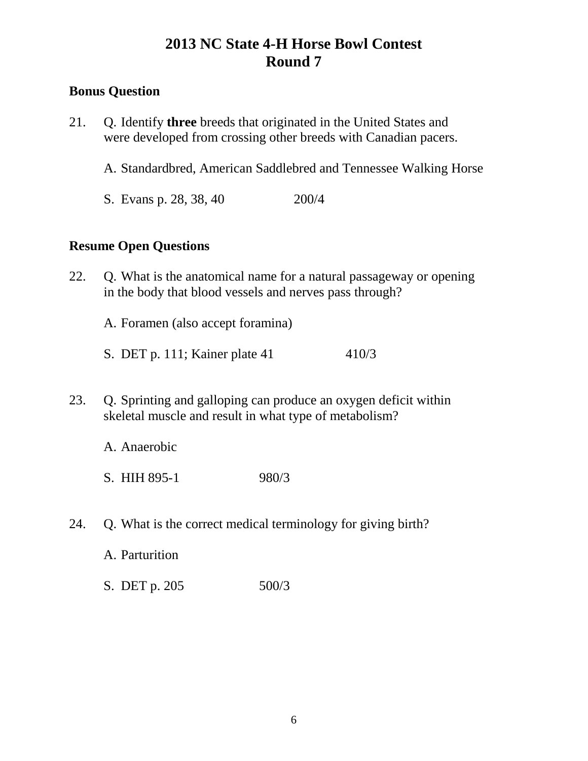### **Bonus Question**

- 21. Q. Identify **three** breeds that originated in the United States and were developed from crossing other breeds with Canadian pacers.
	- A. Standardbred, American Saddlebred and Tennessee Walking Horse
	- S. Evans p. 28, 38, 40 200/4

#### **Resume Open Questions**

- 22. Q. What is the anatomical name for a natural passageway or opening in the body that blood vessels and nerves pass through?
	- A. Foramen (also accept foramina)
	- S. DET p. 111; Kainer plate 41 410/3
- 23. Q. Sprinting and galloping can produce an oxygen deficit within skeletal muscle and result in what type of metabolism?
	- A. Anaerobic
	- S. HIH 895-1 980/3
- 24. Q. What is the correct medical terminology for giving birth?
	- A. Parturition
	- S. DET p. 205 500/3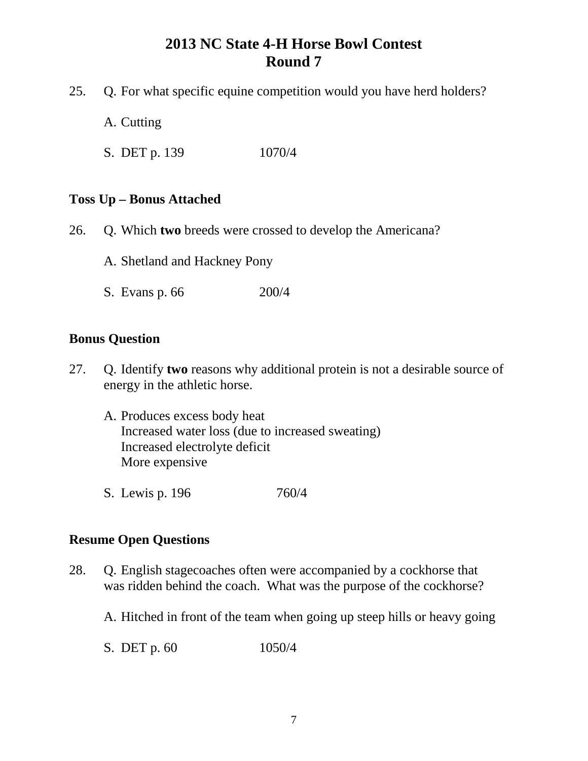- 25. Q. For what specific equine competition would you have herd holders?
	- A. Cutting
	- S. DET p. 139 1070/4

#### **Toss Up – Bonus Attached**

- 26. Q. Which **two** breeds were crossed to develop the Americana?
	- A. Shetland and Hackney Pony
	- S. Evans p. 66 200/4

#### **Bonus Question**

- 27. Q. Identify **two** reasons why additional protein is not a desirable source of energy in the athletic horse.
	- A. Produces excess body heat Increased water loss (due to increased sweating) Increased electrolyte deficit More expensive
	- S. Lewis p. 196 760/4

#### **Resume Open Questions**

- 28. Q. English stagecoaches often were accompanied by a cockhorse that was ridden behind the coach. What was the purpose of the cockhorse?
	- A. Hitched in front of the team when going up steep hills or heavy going
	- S. DET p. 60 1050/4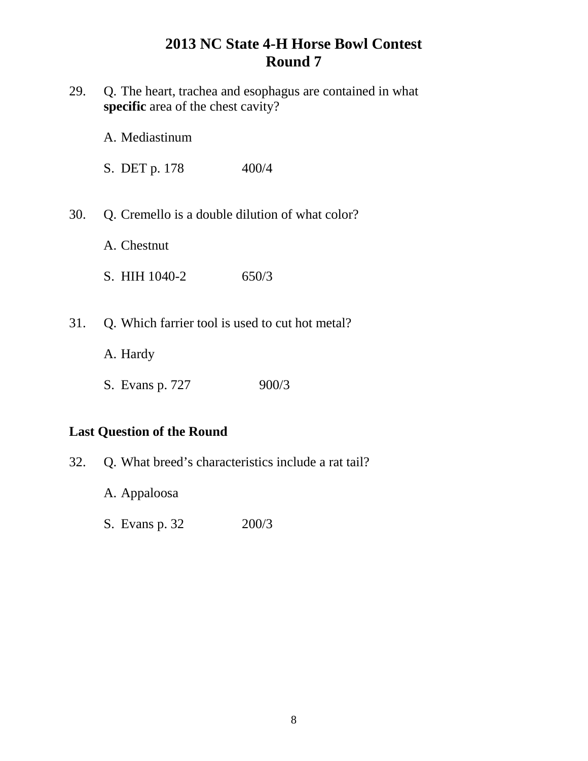| 29.                               | Q. The heart, trachea and esophagus are contained in what<br>specific area of the chest cavity? |  |
|-----------------------------------|-------------------------------------------------------------------------------------------------|--|
|                                   | A. Mediastinum                                                                                  |  |
|                                   | S. DET p. 178<br>400/4                                                                          |  |
| 30.                               | Q. Cremello is a double dilution of what color?<br>A. Chestnut                                  |  |
|                                   | S. HIH 1040-2<br>650/3                                                                          |  |
| 31.                               | Q. Which farrier tool is used to cut hot metal?<br>A. Hardy                                     |  |
|                                   | 900/3<br>S. Evans p. 727                                                                        |  |
| <b>Last Question of the Round</b> |                                                                                                 |  |
| 32.                               | Q. What breed's characteristics include a rat tail?                                             |  |

- A. Appaloosa
- S. Evans p. 32 200/3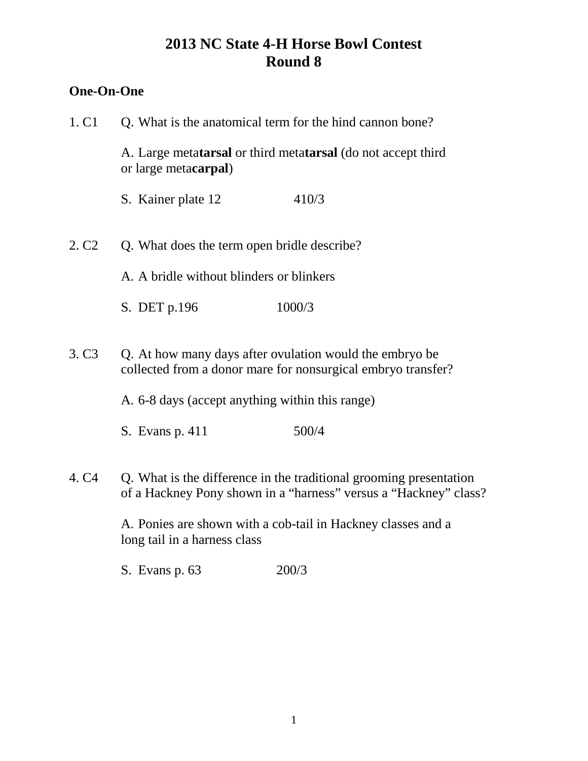## **One-On-One**

| 1. C <sub>1</sub> | Q. What is the anatomical term for the hind cannon bone?                                      |                                                                                                                                        |  |
|-------------------|-----------------------------------------------------------------------------------------------|----------------------------------------------------------------------------------------------------------------------------------------|--|
|                   | A. Large metatarsal or third metatarsal (do not accept third<br>or large meta <b>carpal</b> ) |                                                                                                                                        |  |
|                   | S. Kainer plate 12                                                                            | 410/3                                                                                                                                  |  |
| 2. C <sub>2</sub> | Q. What does the term open bridle describe?                                                   |                                                                                                                                        |  |
|                   | A. A bridle without blinders or blinkers                                                      |                                                                                                                                        |  |
|                   | S. DET p.196                                                                                  | 1000/3                                                                                                                                 |  |
| 3. C <sub>3</sub> | Q. At how many days after ovulation would the embryo be                                       | collected from a donor mare for nonsurgical embryo transfer?                                                                           |  |
|                   | A. 6-8 days (accept anything within this range)                                               |                                                                                                                                        |  |
|                   | S. Evans p. 411                                                                               | 500/4                                                                                                                                  |  |
| 4. C <sub>4</sub> |                                                                                               | Q. What is the difference in the traditional grooming presentation<br>of a Hackney Pony shown in a "harness" versus a "Hackney" class? |  |
|                   | long tail in a harness class                                                                  | A. Ponies are shown with a cob-tail in Hackney classes and a                                                                           |  |

S. Evans p. 63 200/3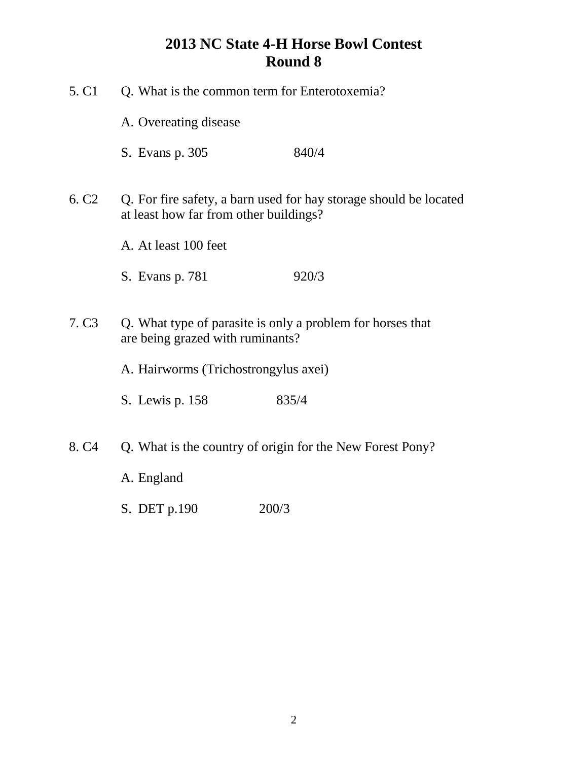| 5. C <sub>1</sub><br>Q. What is the common term for Enterotoxemia? |                                                                                                             |                                                            |
|--------------------------------------------------------------------|-------------------------------------------------------------------------------------------------------------|------------------------------------------------------------|
|                                                                    | A. Overeating disease                                                                                       |                                                            |
|                                                                    | S. Evans p. 305                                                                                             | 840/4                                                      |
| 6. C <sub>2</sub>                                                  | Q. For fire safety, a barn used for hay storage should be located<br>at least how far from other buildings? |                                                            |
|                                                                    | A. At least 100 feet                                                                                        |                                                            |
|                                                                    | S. Evans p. 781                                                                                             | 920/3                                                      |
| 7. C <sub>3</sub>                                                  | are being grazed with ruminants?                                                                            | Q. What type of parasite is only a problem for horses that |
|                                                                    | A. Hairworms (Trichostrongylus axei)                                                                        |                                                            |
|                                                                    | S. Lewis p. 158                                                                                             | 835/4                                                      |
| 8. C <sub>4</sub>                                                  | Q. What is the country of origin for the New Forest Pony?                                                   |                                                            |
|                                                                    | A. England                                                                                                  |                                                            |
|                                                                    | S. DET p.190                                                                                                | 200/3                                                      |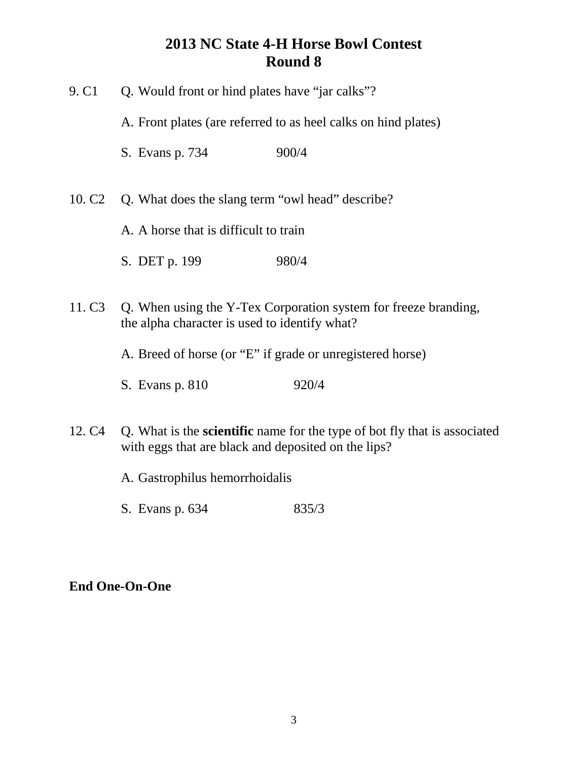| 9. C <sub>1</sub>  | Q. Would front or hind plates have "jar calks"?                                                                                         |  |
|--------------------|-----------------------------------------------------------------------------------------------------------------------------------------|--|
|                    | A. Front plates (are referred to as heel calks on hind plates)                                                                          |  |
|                    | 900/4<br>S. Evans p. 734                                                                                                                |  |
|                    | 10. C <sub>2</sub> Q. What does the slang term "owl head" describe?                                                                     |  |
|                    | A. A horse that is difficult to train                                                                                                   |  |
|                    | S. DET p. 199<br>980/4                                                                                                                  |  |
| 11. C <sub>3</sub> | Q. When using the Y-Tex Corporation system for freeze branding,<br>the alpha character is used to identify what?                        |  |
|                    | A. Breed of horse (or "E" if grade or unregistered horse)                                                                               |  |
|                    | 920/4<br>S. Evans p. 810                                                                                                                |  |
| 12. C <sub>4</sub> | Q. What is the <b>scientific</b> name for the type of bot fly that is associated<br>with eggs that are black and deposited on the lips? |  |

- A. Gastrophilus hemorrhoidalis
- S. Evans p. 634 835/3

## **End One-On-One**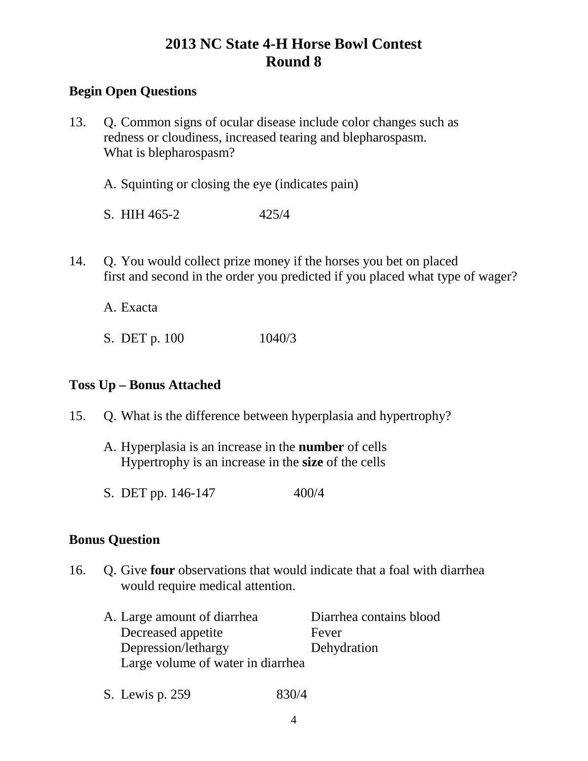### **Begin Open Questions**

- 13. Q. Common signs of ocular disease include color changes such as redness or cloudiness, increased tearing and blepharospasm. What is blepharospasm?
	- A. Squinting or closing the eye (indicates pain)
	- S. HIH 465-2 425/4
- 14. Q. You would collect prize money if the horses you bet on placed first and second in the order you predicted if you placed what type of wager?

A. Exacta

S. DET p. 100 1040/3

#### **Toss Up – Bonus Attached**

- 15. Q. What is the difference between hyperplasia and hypertrophy?
	- A. Hyperplasia is an increase in the **number** of cells Hypertrophy is an increase in the **size** of the cells
	- S. DET pp. 146-147 400/4

#### **Bonus Question**

- 16. Q. Give **four** observations that would indicate that a foal with diarrhea would require medical attention.
	- A. Large amount of diarrhea Diarrhea contains blood Decreased appetite Fever Depression/lethargy Dehydration Large volume of water in diarrhea
	- S. Lewis p. 259 830/4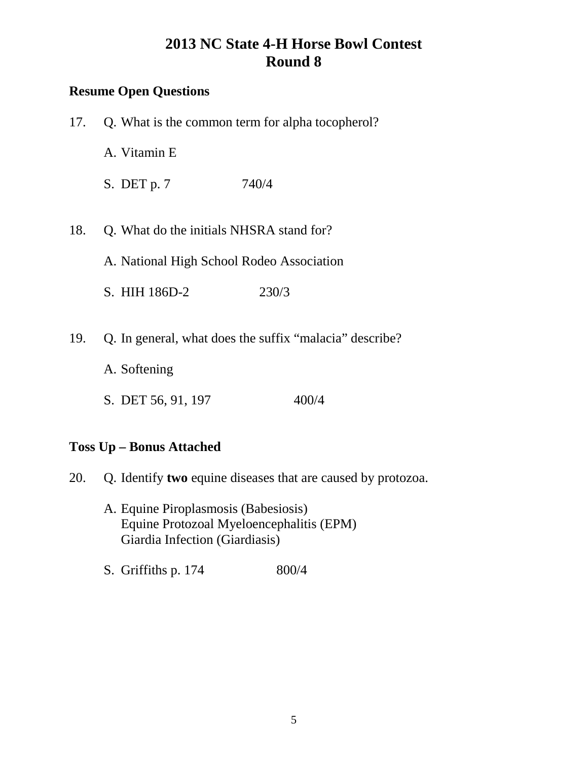## **Resume Open Questions**

| 17. | Q. What is the common term for alpha tocopherol? |                                                         |
|-----|--------------------------------------------------|---------------------------------------------------------|
|     | A. Vitamin E                                     |                                                         |
|     | $S.$ DET p. 7                                    | 740/4                                                   |
|     |                                                  |                                                         |
| 18. | Q. What do the initials NHSRA stand for?         |                                                         |
|     | A. National High School Rodeo Association        |                                                         |
|     | S. HIH 186D-2                                    | 230/3                                                   |
|     |                                                  |                                                         |
| 19. |                                                  | Q. In general, what does the suffix "malacia" describe? |
|     | A. Softening                                     |                                                         |
|     | S. DET 56, 91, 197                               | 400/4                                                   |
|     |                                                  |                                                         |

## **Toss Up – Bonus Attached**

- 20. Q. Identify **two** equine diseases that are caused by protozoa.
	- A. Equine Piroplasmosis (Babesiosis) Equine Protozoal Myeloencephalitis (EPM) Giardia Infection (Giardiasis)
	- S. Griffiths p. 174 800/4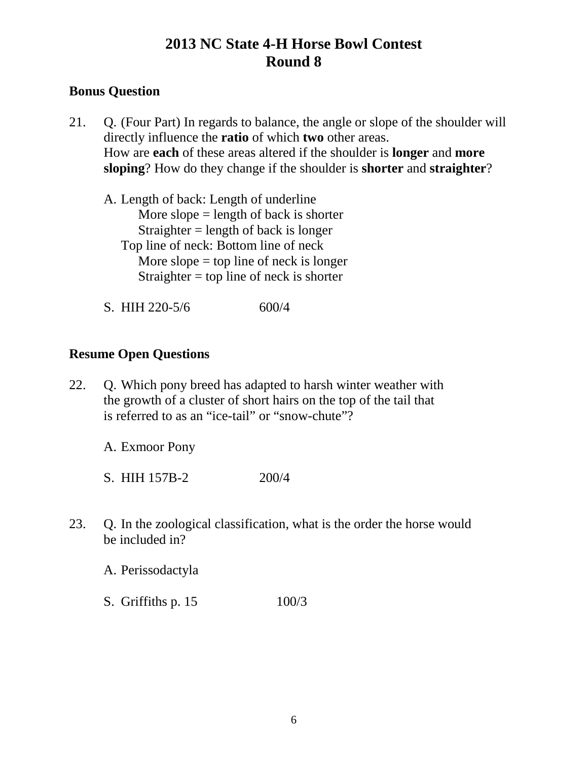### **Bonus Question**

21. Q. (Four Part) In regards to balance, the angle or slope of the shoulder will directly influence the **ratio** of which **two** other areas. How are **each** of these areas altered if the shoulder is **longer** and **more sloping**? How do they change if the shoulder is **shorter** and **straighter**?

A. Length of back: Length of underline More slope  $=$  length of back is shorter Straighter  $=$  length of back is longer Top line of neck: Bottom line of neck More slope  $=$  top line of neck is longer Straighter = top line of neck is shorter

S. HIH 220-5/6 600/4

### **Resume Open Questions**

22. Q. Which pony breed has adapted to harsh winter weather with the growth of a cluster of short hairs on the top of the tail that is referred to as an "ice-tail" or "snow-chute"?

A. Exmoor Pony

S. HIH 157B-2 200/4

23. Q. In the zoological classification, what is the order the horse would be included in?

A. Perissodactyla

S. Griffiths p. 15 100/3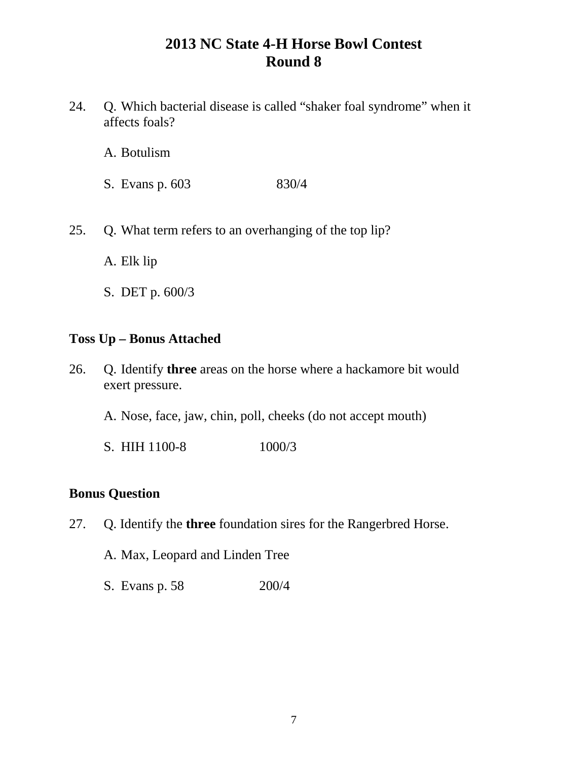- 24. Q. Which bacterial disease is called "shaker foal syndrome" when it affects foals?
	- A. Botulism
	- S. Evans p. 603 830/4
- 25. Q. What term refers to an overhanging of the top lip?
	- A. Elk lip
	- S. DET p. 600/3

#### **Toss Up – Bonus Attached**

- 26. Q. Identify **three** areas on the horse where a hackamore bit would exert pressure.
	- A. Nose, face, jaw, chin, poll, cheeks (do not accept mouth)
	- S. HIH 1100-8 1000/3

#### **Bonus Question**

- 27. Q. Identify the **three** foundation sires for the Rangerbred Horse.
	- A. Max, Leopard and Linden Tree
	- S. Evans p. 58 200/4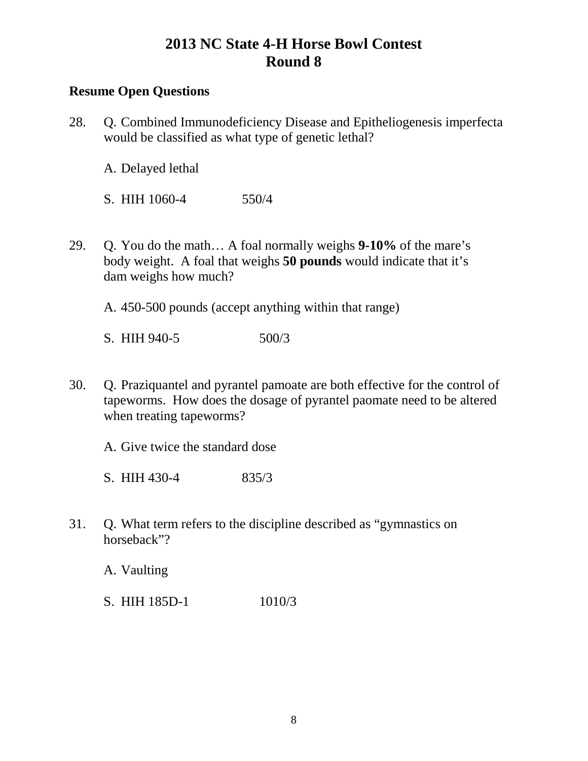### **Resume Open Questions**

28. Q. Combined Immunodeficiency Disease and Epitheliogenesis imperfecta would be classified as what type of genetic lethal?

A. Delayed lethal

S. HIH 1060-4 550/4

29. Q. You do the math… A foal normally weighs **9-10%** of the mare's body weight. A foal that weighs **50 pounds** would indicate that it's dam weighs how much?

A. 450-500 pounds (accept anything within that range)

S. HIH 940-5 500/3

30. Q. Praziquantel and pyrantel pamoate are both effective for the control of tapeworms. How does the dosage of pyrantel paomate need to be altered when treating tapeworms?

A. Give twice the standard dose

S. HIH 430-4 835/3

31. Q. What term refers to the discipline described as "gymnastics on horseback"?

A. Vaulting

S. HIH 185D-1 1010/3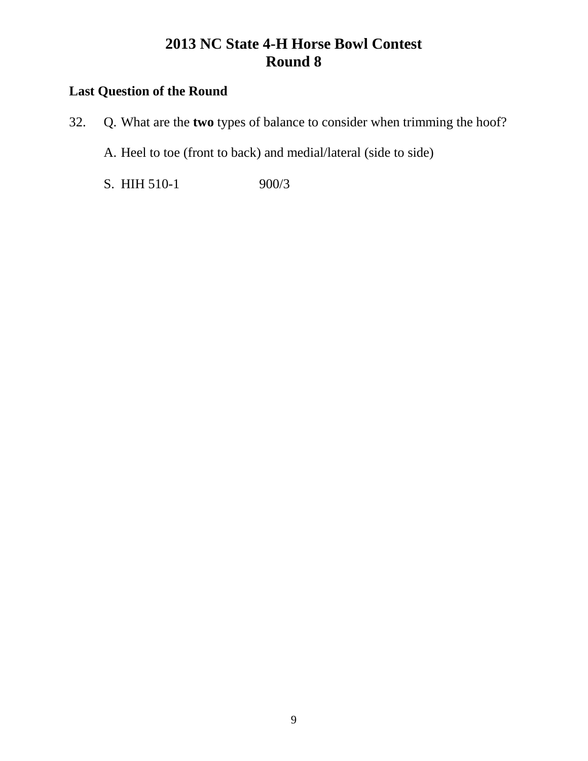## **Last Question of the Round**

- 32. Q. What are the **two** types of balance to consider when trimming the hoof?
	- A. Heel to toe (front to back) and medial/lateral (side to side)
	- S. HIH 510-1 900/3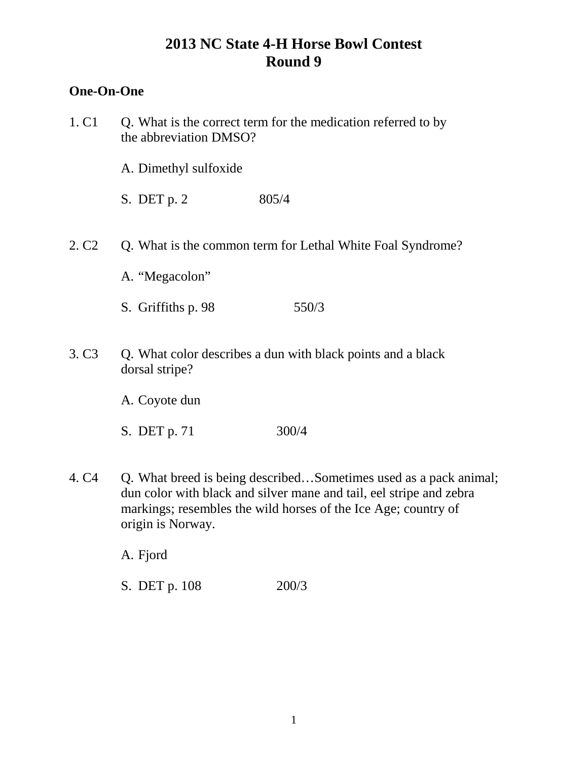# **One-On-One**

| 1. C <sub>1</sub> | Q. What is the correct term for the medication referred to by<br>the abbreviation DMSO?                                                                                                                                        |  |
|-------------------|--------------------------------------------------------------------------------------------------------------------------------------------------------------------------------------------------------------------------------|--|
|                   | A. Dimethyl sulfoxide                                                                                                                                                                                                          |  |
|                   | S. DET p. 2<br>805/4                                                                                                                                                                                                           |  |
| 2. C <sub>2</sub> | Q. What is the common term for Lethal White Foal Syndrome?<br>A. "Megacolon"                                                                                                                                                   |  |
|                   | 550/3<br>S. Griffiths p. 98                                                                                                                                                                                                    |  |
| 3. C <sub>3</sub> | Q. What color describes a dun with black points and a black<br>dorsal stripe?                                                                                                                                                  |  |
|                   | A. Coyote dun                                                                                                                                                                                                                  |  |
|                   | 300/4<br>S. DET p. 71                                                                                                                                                                                                          |  |
| 4. C <sub>4</sub> | Q. What breed is being describedSometimes used as a pack animal;<br>dun color with black and silver mane and tail, eel stripe and zebra<br>markings; resembles the wild horses of the Ice Age; country of<br>origin is Norway. |  |

A. Fjord

S. DET p. 108 200/3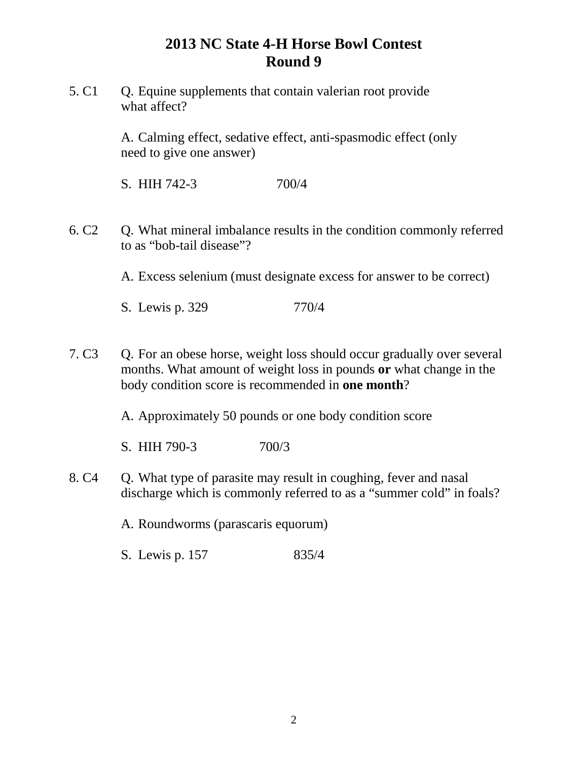5. C1 O. Equine supplements that contain valerian root provide what affect?

> A. Calming effect, sedative effect, anti-spasmodic effect (only need to give one answer)

S. HIH 742-3 700/4

6. C2 Q. What mineral imbalance results in the condition commonly referred to as "bob-tail disease"?

A. Excess selenium (must designate excess for answer to be correct)

S. Lewis p. 329 770/4

7. C3 Q. For an obese horse, weight loss should occur gradually over several months. What amount of weight loss in pounds **or** what change in the body condition score is recommended in **one month**?

A. Approximately 50 pounds or one body condition score

S. HIH 790-3 700/3

8. C4 Q. What type of parasite may result in coughing, fever and nasal discharge which is commonly referred to as a "summer cold" in foals?

A. Roundworms (parascaris equorum)

S. Lewis p. 157 835/4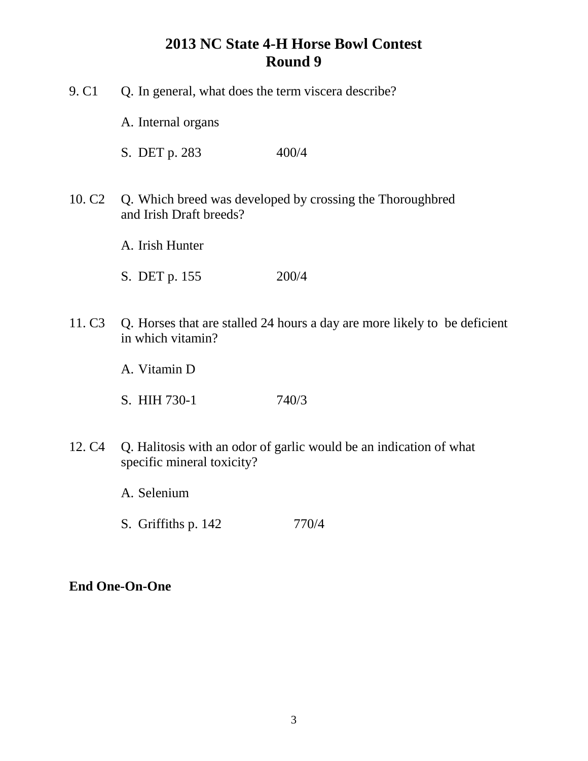- 9. C1 Q. In general, what does the term viscera describe?
	- A. Internal organs
	- S. DET p. 283 400/4
- 10. C2 Q. Which breed was developed by crossing the Thoroughbred and Irish Draft breeds?
	- A. Irish Hunter
	- S. DET p. 155 200/4
- 11. C3 Q. Horses that are stalled 24 hours a day are more likely to be deficient in which vitamin?
	- A. Vitamin D
	- S. HIH 730-1 740/3
- 12. C4 Q. Halitosis with an odor of garlic would be an indication of what specific mineral toxicity?
	- A. Selenium
	- S. Griffiths p. 142 770/4

#### **End One-On-One**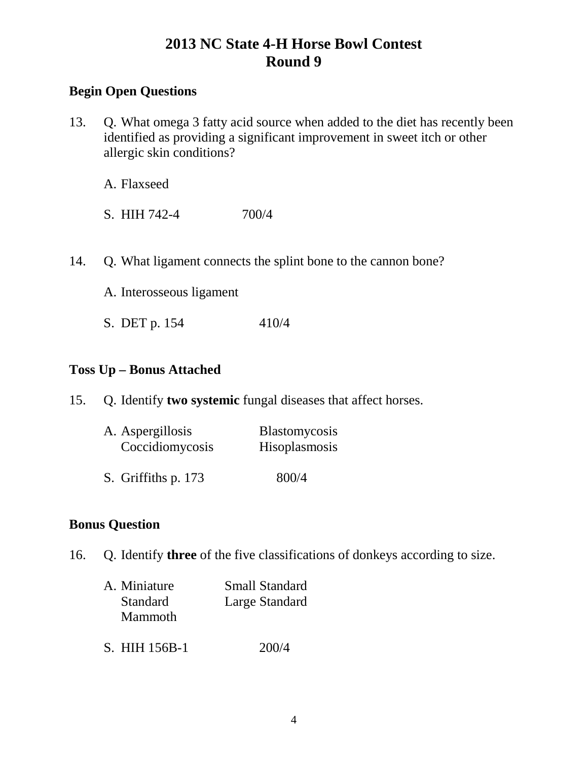### **Begin Open Questions**

13. Q. What omega 3 fatty acid source when added to the diet has recently been identified as providing a significant improvement in sweet itch or other allergic skin conditions?

A. Flaxseed

S. HIH 742-4 700/4

14. Q. What ligament connects the splint bone to the cannon bone?

A. Interosseous ligament

S. DET p. 154 410/4

#### **Toss Up – Bonus Attached**

15. Q. Identify **two systemic** fungal diseases that affect horses.

| A. Aspergillosis    | <b>Blastomycosis</b> |
|---------------------|----------------------|
| Coccidiomycosis     | Hisoplasmosis        |
| S. Griffiths p. 173 | 800/4                |

#### **Bonus Question**

16. Q. Identify **three** of the five classifications of donkeys according to size.

| A. Miniature | <b>Small Standard</b> |
|--------------|-----------------------|
| Standard     | Large Standard        |
| Mammoth      |                       |
|              |                       |

S. HIH 156B-1 200/4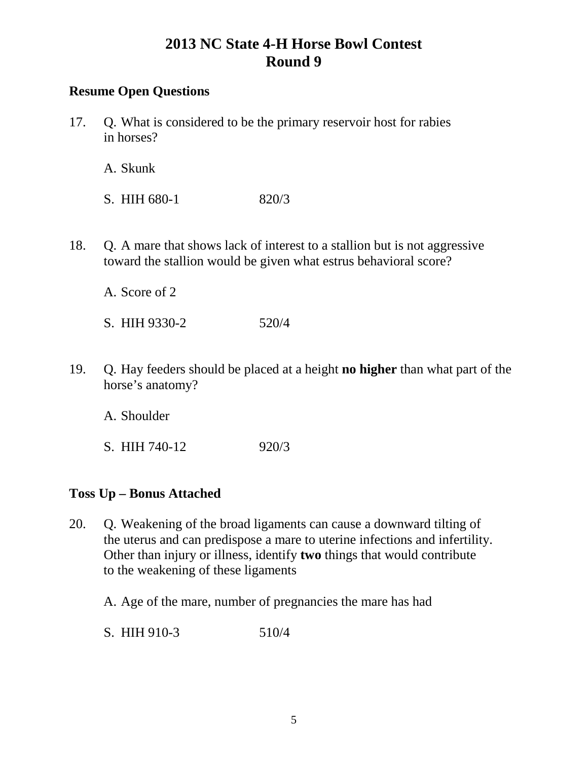### **Resume Open Questions**

17. Q. What is considered to be the primary reservoir host for rabies in horses?

A. Skunk

S. HIH 680-1 820/3

18. Q. A mare that shows lack of interest to a stallion but is not aggressive toward the stallion would be given what estrus behavioral score?

A. Score of 2

- S. HIH 9330-2 520/4
- 19. Q. Hay feeders should be placed at a height **no higher** than what part of the horse's anatomy?

A. Shoulder

S. HIH 740-12 920/3

#### **Toss Up – Bonus Attached**

- 20. Q. Weakening of the broad ligaments can cause a downward tilting of the uterus and can predispose a mare to uterine infections and infertility. Other than injury or illness, identify **two** things that would contribute to the weakening of these ligaments
	- A. Age of the mare, number of pregnancies the mare has had

S. HIH 910-3 510/4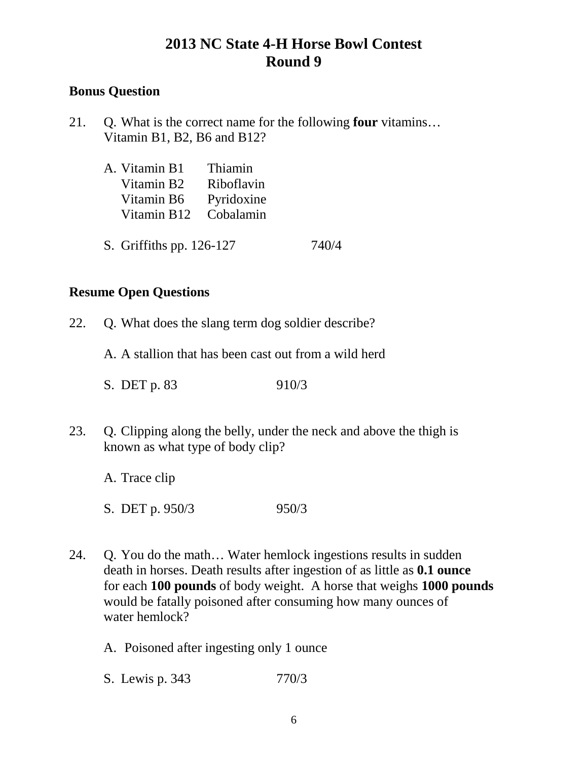### **Bonus Question**

21. Q. What is the correct name for the following **four** vitamins… Vitamin B1, B2, B6 and B12?

| A. Vitamin B1 Thiamin   |            |  |
|-------------------------|------------|--|
| Vitamin B2              | Riboflavin |  |
| Vitamin B6 Pyridoxine   |            |  |
| Vitamin B12 Cobalamin   |            |  |
|                         |            |  |
| $\sim \cdot \sim \cdot$ |            |  |

S. Griffiths pp. 126-127 740/4

### **Resume Open Questions**

- 22. Q. What does the slang term dog soldier describe?
	- A. A stallion that has been cast out from a wild herd
	- S. DET p. 83 910/3
- 23. Q. Clipping along the belly, under the neck and above the thigh is known as what type of body clip?

A. Trace clip

S. DET p. 950/3 950/3

- 24. Q. You do the math… Water hemlock ingestions results in sudden death in horses. Death results after ingestion of as little as **0.1 ounce** for each **100 pounds** of body weight. A horse that weighs **1000 pounds** would be fatally poisoned after consuming how many ounces of water hemlock?
	- A. Poisoned after ingesting only 1 ounce
	- S. Lewis p. 343 770/3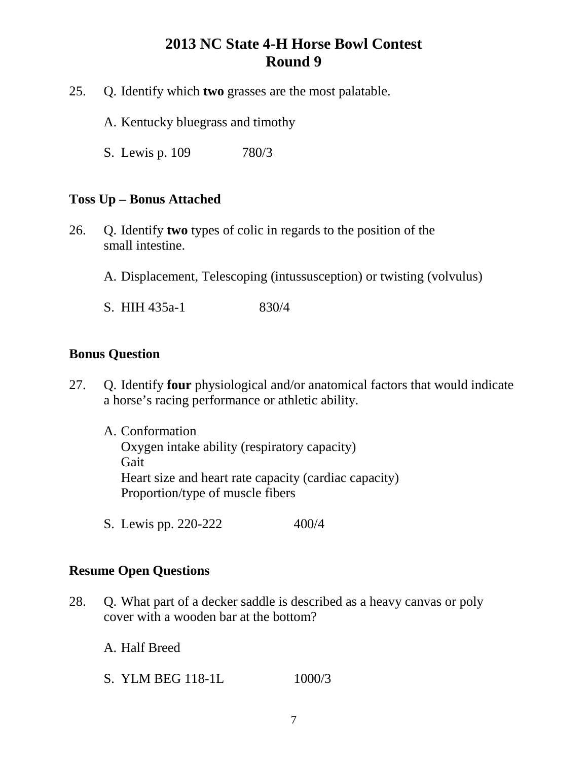- 25. Q. Identify which **two** grasses are the most palatable.
	- A. Kentucky bluegrass and timothy
	- S. Lewis p. 109 780/3

#### **Toss Up – Bonus Attached**

- 26. Q. Identify **two** types of colic in regards to the position of the small intestine.
	- A. Displacement, Telescoping (intussusception) or twisting (volvulus)
	- S. HIH 435a-1 830/4

#### **Bonus Question**

- 27. Q. Identify **four** physiological and/or anatomical factors that would indicate a horse's racing performance or athletic ability.
	- A. Conformation Oxygen intake ability (respiratory capacity) **Gait** Heart size and heart rate capacity (cardiac capacity) Proportion/type of muscle fibers
	- S. Lewis pp. 220-222 400/4

#### **Resume Open Questions**

- 28. Q. What part of a decker saddle is described as a heavy canvas or poly cover with a wooden bar at the bottom?
	- A. Half Breed
	- S. YLM BEG 118-1L 1000/3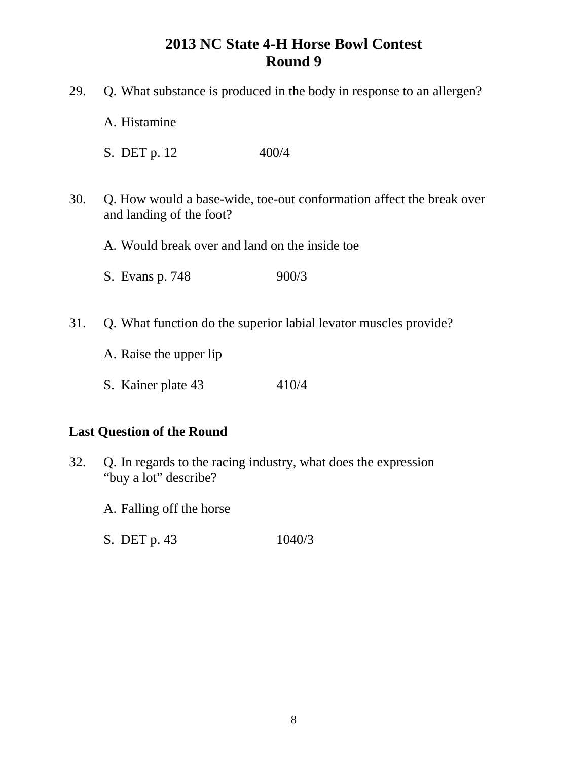| Q. What substance is produced in the body in response to an allergen?<br>29.                            |                                                |       |  |
|---------------------------------------------------------------------------------------------------------|------------------------------------------------|-------|--|
|                                                                                                         | A. Histamine                                   |       |  |
|                                                                                                         | S. DET p. 12                                   | 400/4 |  |
| 30.<br>Q. How would a base-wide, toe-out conformation affect the break over<br>and landing of the foot? |                                                |       |  |
|                                                                                                         | A. Would break over and land on the inside toe |       |  |
|                                                                                                         | S. Evans p. 748                                | 900/3 |  |
| 31.<br>Q. What function do the superior labial levator muscles provide?                                 |                                                |       |  |
|                                                                                                         | A. Raise the upper lip                         |       |  |
|                                                                                                         | S. Kainer plate 43                             | 410/4 |  |
| <b>Last Question of the Round</b>                                                                       |                                                |       |  |

- 32. Q. In regards to the racing industry, what does the expression "buy a lot" describe?
	- A. Falling off the horse
	- S. DET p. 43 1040/3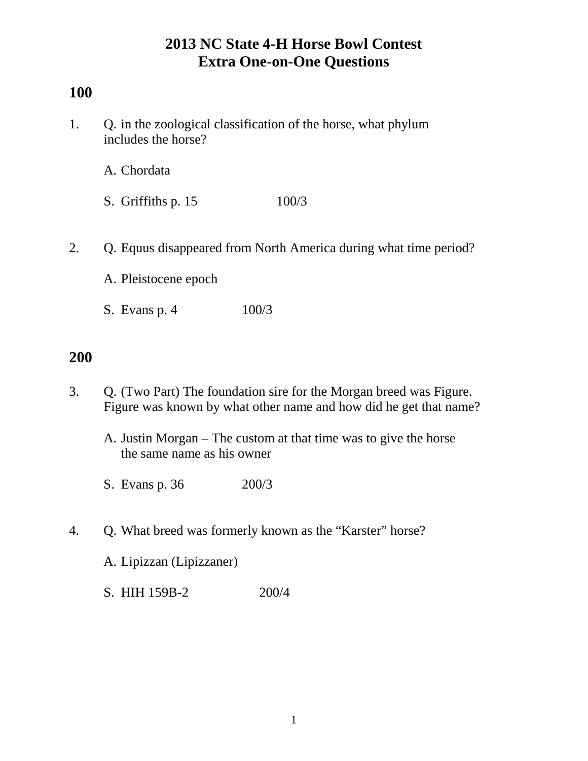# **100**

1. Q. in the zoological classification of the horse, what phylum includes the horse?

A. Chordata

- S. Griffiths p. 15 100/3
- 2. Q. Equus disappeared from North America during what time period?
	- A. Pleistocene epoch
	- S. Evans p. 4 100/3

# **200**

- 3. Q. (Two Part) The foundation sire for the Morgan breed was Figure. Figure was known by what other name and how did he get that name?
	- A. Justin Morgan The custom at that time was to give the horse the same name as his owner
	- S. Evans p. 36 200/3
- 4. Q. What breed was formerly known as the "Karster" horse?

A. Lipizzan (Lipizzaner)

S. HIH 159B-2 200/4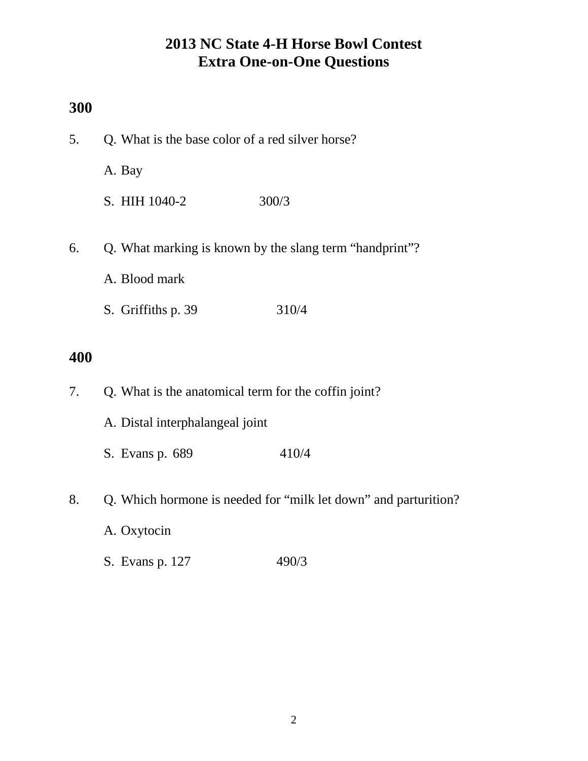### **300**

| 5.                                                            | Q. What is the base color of a red silver horse?                |       |
|---------------------------------------------------------------|-----------------------------------------------------------------|-------|
|                                                               | A. Bay                                                          |       |
|                                                               | S. HIH 1040-2                                                   | 300/3 |
| Q. What marking is known by the slang term "handprint"?<br>6. |                                                                 |       |
|                                                               | A. Blood mark                                                   |       |
|                                                               | S. Griffiths p. 39                                              | 310/4 |
| 400                                                           |                                                                 |       |
| 7.                                                            | Q. What is the anatomical term for the coffin joint?            |       |
|                                                               | A. Distal interphalangeal joint                                 |       |
|                                                               | S. Evans p. 689                                                 | 410/4 |
| 8.                                                            | Q. Which hormone is needed for "milk let down" and parturition? |       |

- A. Oxytocin
- S. Evans p. 127 490/3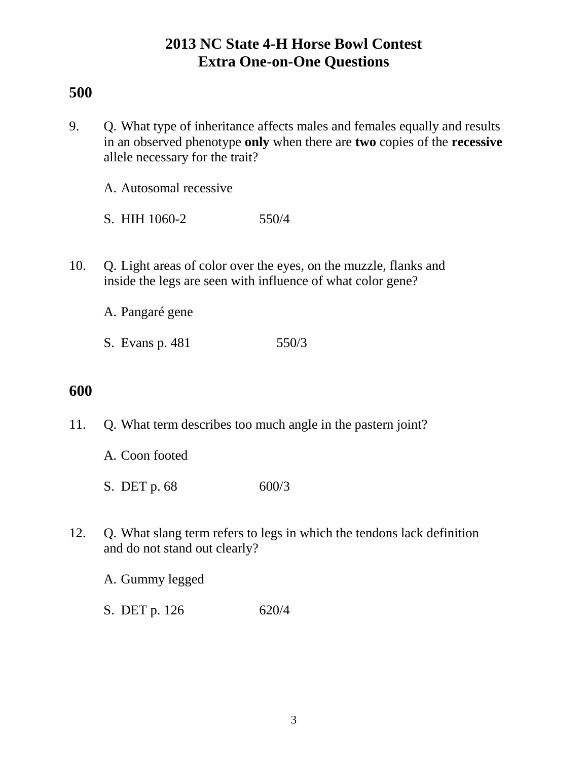## **500**

9. Q. What type of inheritance affects males and females equally and results in an observed phenotype **only** when there are **two** copies of the **recessive**  allele necessary for the trait?

A. Autosomal recessive

S. HIH 1060-2 550/4

10. Q. Light areas of color over the eyes, on the muzzle, flanks and inside the legs are seen with influence of what color gene?

A. Pangaré gene

S. Evans p. 481 550/3

## **600**

- 11. Q. What term describes too much angle in the pastern joint?
	- A. Coon footed
	- S. DET p. 68 600/3
- 12. Q. What slang term refers to legs in which the tendons lack definition and do not stand out clearly?

A. Gummy legged

S. DET p. 126 620/4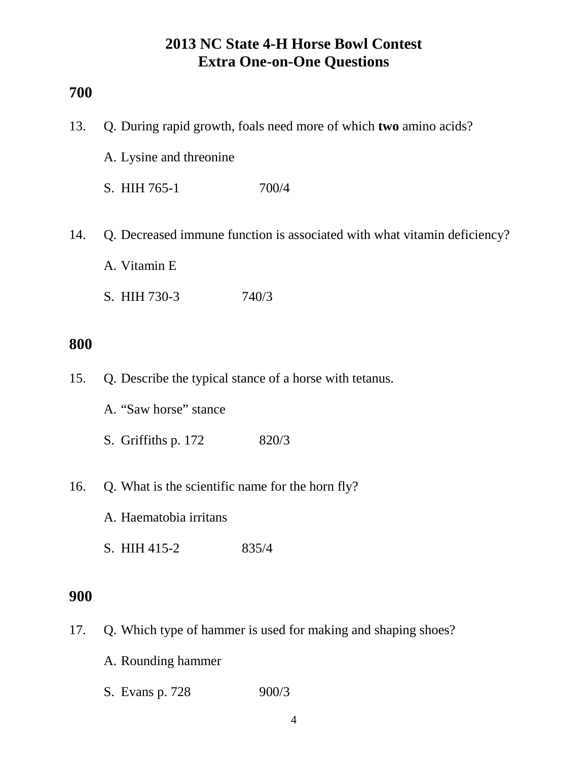### **700**

| 13.        | Q. During rapid growth, foals need more of which two amino acids?          |       |  |
|------------|----------------------------------------------------------------------------|-------|--|
|            | A. Lysine and threonine                                                    |       |  |
|            | S. HIH 765-1                                                               | 700/4 |  |
| 14.        | Q. Decreased immune function is associated with what vitamin deficiency?   |       |  |
|            | A. Vitamin E                                                               |       |  |
|            | S. HIH 730-3                                                               | 740/3 |  |
| 800        |                                                                            |       |  |
| 15.        | Q. Describe the typical stance of a horse with tetanus.                    |       |  |
|            | A. "Saw horse" stance                                                      |       |  |
|            | S. Griffiths p. 172                                                        | 820/3 |  |
| 16.        | Q. What is the scientific name for the horn fly?<br>A. Haematobia irritans |       |  |
|            |                                                                            |       |  |
|            | S. HIH 415-2                                                               | 835/4 |  |
| <b>900</b> |                                                                            |       |  |
| 17.        | Q. Which type of hammer is used for making and shaping shoes?              |       |  |
|            | A. Rounding hammer                                                         |       |  |

S. Evans p. 728 900/3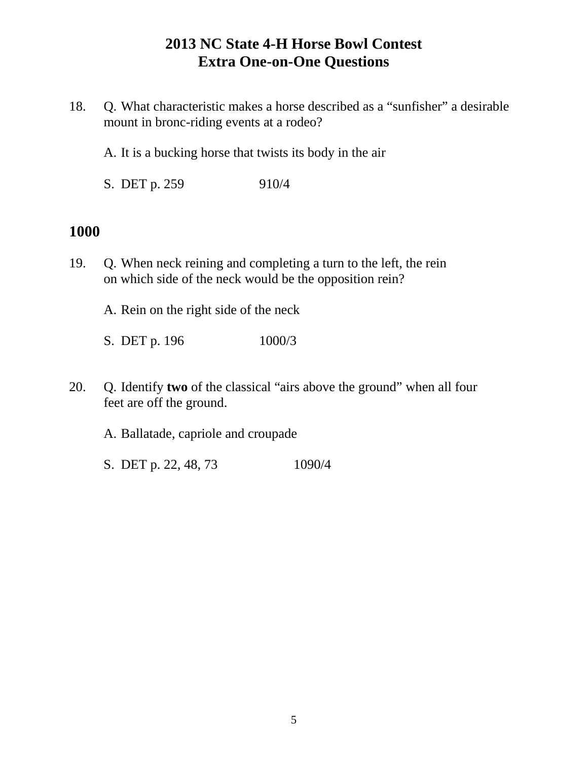- 18. Q. What characteristic makes a horse described as a "sunfisher" a desirable mount in bronc-riding events at a rodeo?
	- A. It is a bucking horse that twists its body in the air
	- S. DET p. 259 910/4

### **1000**

19. Q. When neck reining and completing a turn to the left, the rein on which side of the neck would be the opposition rein?

A. Rein on the right side of the neck

- S. DET p. 196 1000/3
- 20. Q. Identify **two** of the classical "airs above the ground" when all four feet are off the ground.

A. Ballatade, capriole and croupade

S. DET p. 22, 48, 73 1090/4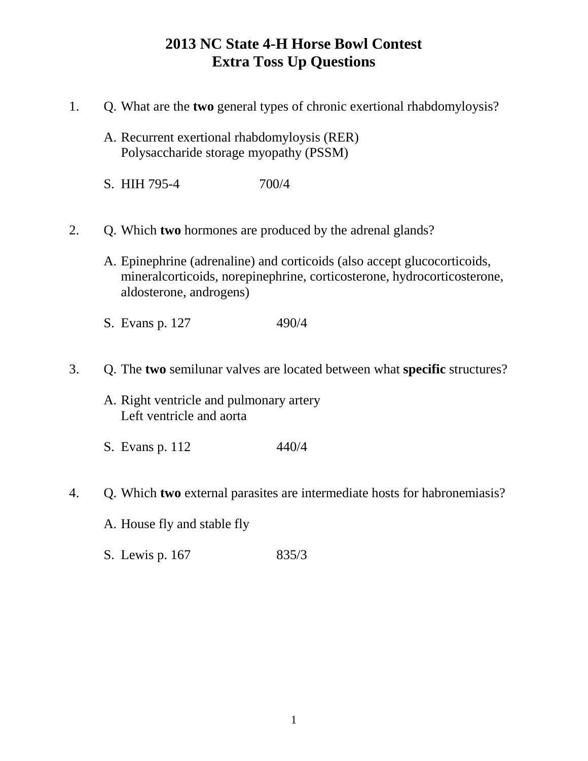# **2013 NC State 4-H Horse Bowl Contest Extra Toss Up Questions**

- 1. Q. What are the **two** general types of chronic exertional rhabdomyloysis?
	- A. Recurrent exertional rhabdomyloysis (RER) Polysaccharide storage myopathy (PSSM)
	- S. HIH 795-4 700/4
- 2. Q. Which **two** hormones are produced by the adrenal glands?
	- A. Epinephrine (adrenaline) and corticoids (also accept glucocorticoids, mineralcorticoids, norepinephrine, corticosterone, hydrocorticosterone, aldosterone, androgens)
	- S. Evans p. 127 490/4
- 3. Q. The **two** semilunar valves are located between what **specific** structures?
	- A. Right ventricle and pulmonary artery Left ventricle and aorta
	- S. Evans p. 112 440/4
- 4. Q. Which **two** external parasites are intermediate hosts for habronemiasis?
	- A. House fly and stable fly
	- S. Lewis p. 167 835/3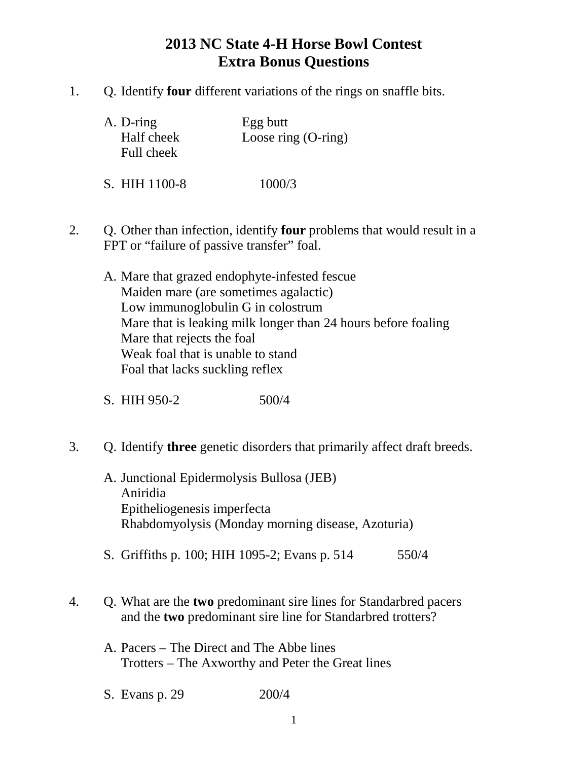# **2013 NC State 4-H Horse Bowl Contest Extra Bonus Questions**

1. Q. Identify **four** different variations of the rings on snaffle bits.

| A. D-ring<br>Half cheek<br>Full cheek | Egg butt<br>Loose ring $(O\text{-ring})$ |
|---------------------------------------|------------------------------------------|
| S. HIH 1100-8                         | 1000/3                                   |

- 2. Q. Other than infection, identify **four** problems that would result in a FPT or "failure of passive transfer" foal.
	- A. Mare that grazed endophyte-infested fescue Maiden mare (are sometimes agalactic) Low immunoglobulin G in colostrum Mare that is leaking milk longer than 24 hours before foaling Mare that rejects the foal Weak foal that is unable to stand Foal that lacks suckling reflex
	- S. HIH 950-2 500/4
- 3. Q. Identify **three** genetic disorders that primarily affect draft breeds.
	- A. Junctional Epidermolysis Bullosa (JEB) Aniridia Epitheliogenesis imperfecta Rhabdomyolysis (Monday morning disease, Azoturia)
	- S. Griffiths p. 100; HIH 1095-2; Evans p. 514 550/4
- 4. Q. What are the **two** predominant sire lines for Standarbred pacers and the **two** predominant sire line for Standarbred trotters?
	- A. Pacers The Direct and The Abbe lines Trotters – The Axworthy and Peter the Great lines
	- S. Evans p. 29 200/4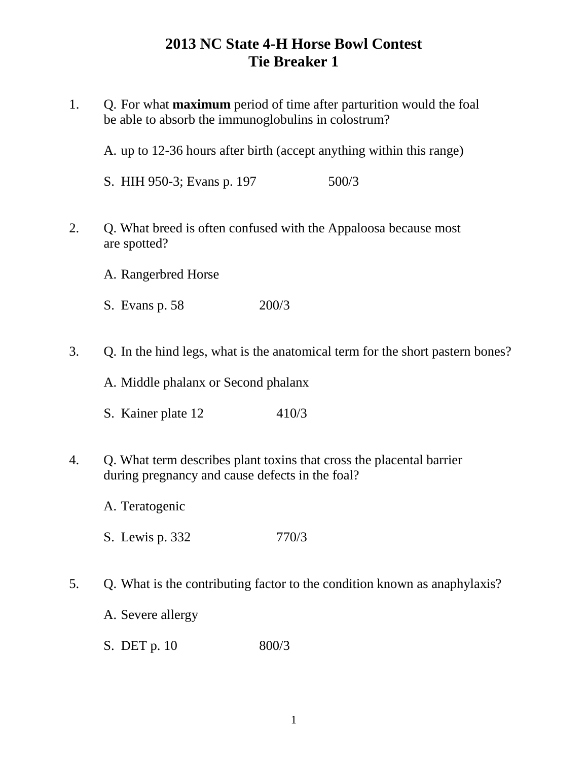# **2013 NC State 4-H Horse Bowl Contest Tie Breaker 1**

1. Q. For what **maximum** period of time after parturition would the foal be able to absorb the immunoglobulins in colostrum?

A. up to 12-36 hours after birth (accept anything within this range)

S. HIH 950-3; Evans p. 197 500/3

- 2. Q. What breed is often confused with the Appaloosa because most are spotted?
	- A. Rangerbred Horse
	- S. Evans p. 58 200/3
- 3. Q. In the hind legs, what is the anatomical term for the short pastern bones?

A. Middle phalanx or Second phalanx

- S. Kainer plate 12 410/3
- 4. Q. What term describes plant toxins that cross the placental barrier during pregnancy and cause defects in the foal?
	- A. Teratogenic
	- S. Lewis p. 332 770/3
- 5. Q. What is the contributing factor to the condition known as anaphylaxis?
	- A. Severe allergy
	- S. DET p. 10 800/3